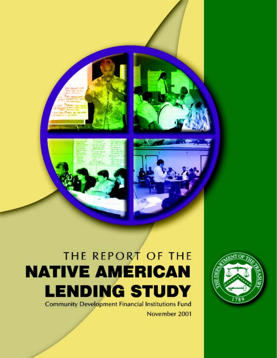

# THE REPORT OF THE **NATIVE AMERICAN LENDING STUDY**

**Community Development Financial Institutions Fund** November 2001

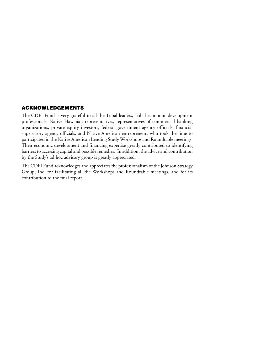#### ACKNOWLEDGEMENTS

The CDFI Fund is very grateful to all the Tribal leaders, Tribal economic development professionals, Native Hawaiian representatives, representatives of commercial banking organizations, private equity investors, federal government agency officials, financial supervisory agency officials, and Native American entrepreneurs who took the time to participated in the Native American Lending Study Workshops and Roundtable meetings. Their economic development and financing expertise greatly contributed to identifying barriers to accessing capital and possible remedies. In addition, the advice and contribution by the Study's ad hoc advisory group is greatly appreciated.

The CDFI Fund acknowledges and appreciates the professionalism of the Johnson Strategy Group, Inc. for facilitating all the Workshops and Roundtable meetings, and for its contribution to the final report.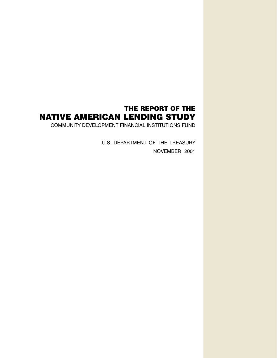# THE REPORT OF THE NATIVE AMERICAN LENDING STUDY

COMMUNITY DEVELOPMENT FINANCIAL INSTITUTIONS FUND

U.S. DEPARTMENT OF THE TREASURY NOVEMBER 2001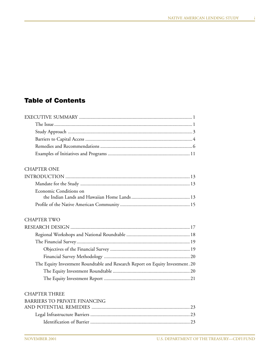# Table of Contents

#### CHAPTER ONE

| Economic Conditions on |
|------------------------|
|                        |
|                        |

#### CHAPTER TWO

| The Equity Investment Roundtable and Research Report on Equity Investment. 20 |  |
|-------------------------------------------------------------------------------|--|
|                                                                               |  |
|                                                                               |  |
|                                                                               |  |

#### CHAPTER THREE

| <b>BARRIERS TO PRIVATE FINANCING</b> |  |
|--------------------------------------|--|
|                                      |  |
|                                      |  |
|                                      |  |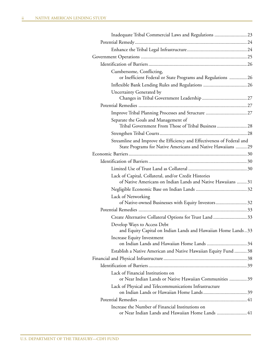| Inadequate Tribal Commercial Laws and Regulations  23                                                                                  |  |
|----------------------------------------------------------------------------------------------------------------------------------------|--|
|                                                                                                                                        |  |
|                                                                                                                                        |  |
|                                                                                                                                        |  |
|                                                                                                                                        |  |
| Cumbersome, Conflicting,<br>or Inefficient Federal or State Programs and Regulations  26                                               |  |
| Inflexible Bank Lending Rules and Regulations  26                                                                                      |  |
| Uncertainty Generated by                                                                                                               |  |
|                                                                                                                                        |  |
| Improve Tribal Planning Processes and Structure  27                                                                                    |  |
| Separate the Goals and Management of<br>Tribal Government From Those of Tribal Business  28                                            |  |
|                                                                                                                                        |  |
| Streamline and Improve the Efficiency and Effectiveness of Federal and<br>State Programs for Native Americans and Native Hawaiians  29 |  |
|                                                                                                                                        |  |
|                                                                                                                                        |  |
|                                                                                                                                        |  |
| Lack of Capital, Collateral, and/or Credit Histories<br>of Native Americans on Indian Lands and Native Hawaiians  31                   |  |
|                                                                                                                                        |  |
| Lack of Networking<br>of Native-owned Businesses with Equity Investors 32                                                              |  |
|                                                                                                                                        |  |
| Create Alternative Collateral Options for Trust Land  33                                                                               |  |
| Develop Ways to Access Debt<br>and Equity Capital on Indian Lands and Hawaiian Home Lands33                                            |  |
| Increase Equity Investment<br>on Indian Lands and Hawaiian Home Lands  34                                                              |  |
| Establish a Native American and Native Hawaiian Equity Fund  38                                                                        |  |
|                                                                                                                                        |  |
|                                                                                                                                        |  |
| Lack of Financial Institutions on<br>or Near Indian Lands or Native Hawaiian Communities  39                                           |  |
| Lack of Physical and Telecommunications Infrastructure                                                                                 |  |
|                                                                                                                                        |  |
| Increase the Number of Financial Institutions on<br>or Near Indian Lands and Hawaiian Home Lands  41                                   |  |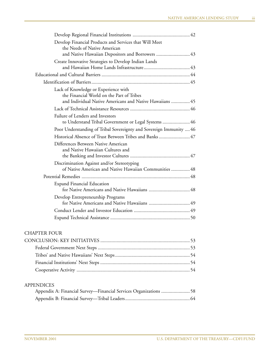| Develop Financial Products and Services that Will Meet              |                                                          |
|---------------------------------------------------------------------|----------------------------------------------------------|
| the Needs of Native American                                        |                                                          |
|                                                                     | and Native Hawaiian Depositors and Borrowers  43         |
| Create Innovative Strategies to Develop Indian Lands                |                                                          |
|                                                                     |                                                          |
|                                                                     |                                                          |
|                                                                     |                                                          |
| Lack of Knowledge or Experience with                                |                                                          |
| the Financial World on the Part of Tribes                           |                                                          |
|                                                                     | and Individual Native Americans and Native Hawaiians  45 |
|                                                                     |                                                          |
| Failure of Lenders and Investors                                    |                                                          |
|                                                                     | to Understand Tribal Government or Legal Systems  46     |
| Poor Understanding of Tribal Sovereignty and Sovereign Immunity  46 |                                                          |
| Historical Absence of Trust Between Tribes and Banks  47            |                                                          |
| Differences Between Native American                                 |                                                          |
| and Native Hawaiian Cultures and                                    |                                                          |
|                                                                     |                                                          |
| Discrimination Against and/or Stereotyping                          |                                                          |
|                                                                     | of Native American and Native Hawaiian Communities  48   |
|                                                                     |                                                          |
| <b>Expand Financial Education</b>                                   |                                                          |
|                                                                     |                                                          |
| Develop Entrepreneurship Programs                                   |                                                          |
|                                                                     | for Native Americans and Native Hawaiians  49            |
|                                                                     |                                                          |
|                                                                     |                                                          |
|                                                                     |                                                          |

#### CHAPTER FOUR

#### APPENDICES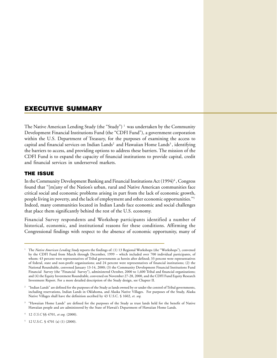### EXECUTIVE SUMMARY

The Native American Lending Study (the "Study")<sup>1</sup> was undertaken by the Community Development Financial Institutions Fund (the "CDFI Fund"), a government corporation within the U.S. Department of Treasury, for the purposes of examining the access to capital and financial services on Indian Lands<sup>2</sup> and Hawaiian Home Lands<sup>3</sup>, identifying the barriers to access, and providing options to address these barriers. The mission of the CDFI Fund is to expand the capacity of financial institutions to provide capital, credit and financial services in underserved markets.

#### THE ISSUE

In the Community Development Banking and Financial Institutions Act  $(1994)^4$ , Congress found that "[m]any of the Nation's urban, rural and Native American communities face critical social and economic problems arising in part from the lack of economic growth, people living in poverty, and the lack of employment and other economic opportunities."5 Indeed, many communities located in Indian Lands face economic and social challenges that place them significantly behind the rest of the U.S. economy.

Financial Survey respondents and Workshop participants identified a number of historical, economic, and institutional reasons for these conditions. Affirming the Congressional findings with respect to the absence of economic opportunity, many of

<sup>4</sup> 12 *U.S.C* §§ 4701, *et seq.* (2000).

 $5$  12 U.S.C. § 4701 (a) (1) (2000).

<sup>&</sup>lt;sup>1</sup> The *Native American Lending Study* reports the findings of: (1) 13 Regional Workshops (the "Workshops"), convened by the CDFI Fund from March through December, 1999 – which included over 700 individual participants, of whom: 43 percent were representatives of Tribal governments as herein after defined; 33 percent were representatives of federal, state and non-profit organizations; and 24 percent were representatives of financial institutions; (2) the National Roundtable, convened January 13-14, 2000; (3) the Community Development Financial Institutions Fund Financial Survey (the "Financial Survey"), administered October, 2000 to 1,600 Tribal and financial organizations; and (4) the Equity Investment Roundtable, convened on November 27-28, 2000, and the CDFI Fund Equity Research Investment Report. For a more detailed description of the Study design, see Chapter II.

<sup>&</sup>lt;sup>2</sup> "Indian Lands" are defined for the purposes of the Study as lands owned by or under the control of Tribal governments, including reservations, Indian Lands in Oklahoma, and Alaska Native Villages. For purposes of the Study, Alaska Native Villages shall have the definition ascribed by 43 U.S.C. § 1602, *et. seq.*

<sup>&</sup>lt;sup>3</sup> "Hawaiian Home Lands" are defined for the purposes of the Study as trust lands held for the benefit of Native Hawaiian people and are administered by the State of Hawaii's Department of Hawaiian Home Lands.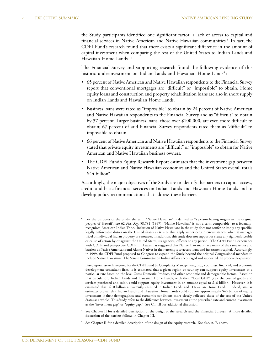the Study participants identified one significant factor: a lack of access to capital and financial services in Native American and Native Hawaiian communities.<sup>6</sup> In fact, the CDFI Fund's research found that there exists a significant difference in the amount of capital investment when comparing the rest of the United States to Indian Lands and Hawaiian Home Lands. 7

The Financial Survey and supporting research found the following evidence of this historic underinvestment on Indian Lands and Hawaiian Home Lands<sup>8</sup>:

- 65 percent of Native American and Native Hawaiian respondents to the Financial Survey report that conventional mortgages are "difficult" or "impossible" to obtain. Home equity loans and construction and property rehabilitation loans are also in short supply on Indian Lands and Hawaiian Home Lands.
- Business loans were rated as "impossible" to obtain by 24 percent of Native American and Native Hawaiian respondents to the Financial Survey and as "difficult" to obtain by 37 percent. Larger business loans, those over \$100,000, are even more difficult to obtain; 67 percent of said Financial Survey respondents rated them as "difficult" to impossible to obtain.
- 66 percent of Native American and Native Hawaiian respondents to the Financial Survey stated that private equity investments are "difficult" or "impossible" to obtain for Native American and Native Hawaiian business owners.
- The CDFI Fund's Equity Research Report estimates that the investment gap between Native American and Native Hawaiian economies and the United States overall totals  $$44$  billion<sup>9</sup>.

Accordingly, the major objectives of the Study are to identify the barriers to capital access, credit, and basic financial services on Indian Lands and Hawaiian Home Lands and to develop policy recommendations that address these barriers.

See Chapter II for a detailed description of the design of the research and the Financial Surveys. A more detailed discussion of the barriers follows in Chapter III.

<sup>6</sup> For the purposes of the Study, the term "Native Hawaiian" is defined as "a person having origins in the original peoples of Hawaii", see 62 *Fed. Reg.* 58,781 (1997). "Native Hawaiian" is not a term comparable to a federallyrecognized American Indian Tribe. Inclusion of Native Hawaiians in the study does not confer or imply any specific, legally enforceable duties on the United States as trustee that apply under certain circumstances when it manages tribal or individual Indian property or resources. In addition, this study does not support or create any right enforceable or cause of action by or against the United States, its agencies, officers or any person. The CDFI Fund's experience with CDFIs and prospective CDFIs in Hawaii has suggested that Native Hawaiians face many of the same issues and barriers as Native Americans and Alaska Natives in their attempts to access loans and investment capital. Accordingly, in 1999, the CDFI Fund proposed to Congress to expand the Study beyond the original Congressional mandate to include Native Hawaiians. The Senate Committee on Indian Affairs encouraged and supported the proposed expansion.

<sup>7</sup> Based upon research prepared for the CDFI Fund by Complexity Management, Inc., a business, financial, and economic development consultant firm, it is estimated that a given region or country can support equity investment at a particular rate based on the level Gross Domestic Product, and other economic and demographic factors. Based on that calculation, Indian Lands and Hawaiian Home Lands, with their "local GDP" (i.e.- the cost of goods and services purchased and sold), could support equity investment in an amount equal to \$16 billion. However, it is estimated that \$10 billion is currently invested in Indian Lands and Hawaiian Home Lands. Indeed, similar estimates project that Indian Lands and Hawaiian Home Lands could support approximately \$40 billion of equity investment if their demographics and economic conditions more closely reflected those of the rest of the United States as a whole. This Study refers to the difference between investment at the prescribed rate and current investment as the "investment gap" or "equity gap." See Ch. III for additional discussion.

See Chapter II for a detailed description of the design of the equity research. See also, n. 7, above.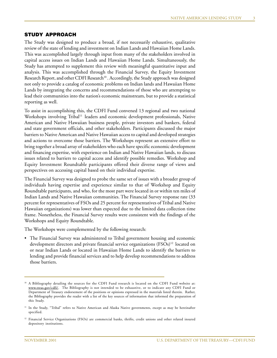#### STUDY APPROACH

The Study was designed to produce a broad, if not necessarily exhaustive, qualitative review of the state of lending and investment on Indian Lands and Hawaiian Home Lands. This was accomplished largely through input from many of the stakeholders involved in capital access issues on Indian Lands and Hawaiian Home Lands. Simultaneously, the Study has attempted to supplement this review with meaningful quantitative input and analysis. This was accomplished through the Financial Survey, the Equity Investment Research Report, and other CDFI Research<sup>10</sup>. Accordingly, the Study approach was designed not only to provide a catalog of economic problems on Indian lands and Hawaiian Home Lands by integrating the concerns and recommendations of those who are attempting to lead their communities into the nation's economic mainstream, but to provide a statistical reporting as well.

To assist in accomplishing this, the CDFI Fund convened 13 regional and two national Workshops involving Tribal<sup>11</sup> leaders and economic development professionals, Native American and Native Hawaiian business people, private investors and bankers, federal and state government officials, and other stakeholders. Participants discussed the major barriers to Native American and Native Hawaiian access to capital and developed strategies and actions to overcome those barriers. The Workshops represent an extensive effort to bring together a broad array of stakeholders who each have specific economic development and financing expertise, with experience on Indian and Native Hawaiian lands, to discuss issues related to barriers to capital access and identify possible remedies. Workshop and Equity Investment Roundtable participants offered their diverse range of views and perspectives on accessing capital based on their individual expertise.

The Financial Survey was designed to probe the same set of issues with a broader group of individuals having expertise and experience similar to that of Workshop and Equity Roundtable participants, and who, for the most part were located in or within ten miles of Indian Lands and Native Hawaiian communities. The Financial Survey response rate (33 percent for representatives of FSOs and 25 percent for representatives of Tribal and Native Hawaiian organizations) was lower than expected due to the limited data collection time frame. Nonetheless, the Financial Survey results were consistent with the findings of the Workshops and Equity Roundtable.

The Workshops were complemented by the following research:

• The Financial Survey was administered to Tribal government housing and economic development directors and private financial service organizations  $(FSOs)^{12}$  located on or near Indian Lands or located in Hawaiian Home Lands to identify the barriers to lending and provide financial services and to help develop recommendations to address those barriers.

<sup>&</sup>lt;sup>10</sup> A Bibliography detailing the sources for the CDFI Fund research is located on the CDFI Fund website at: www.treas.gov/cdfi/. The Bibliography is not intended to be exhaustive, or to indicate any CDFI Fund or Department of Treasury endorsement of the positions or opinions expressed in the materials listed therein. Rather, the Bibliography provides the reader with a list of the key sources of information that informed the preparation of this Study.

<sup>&</sup>lt;sup>11</sup> In the Study, "Tribal" refers to Native American and Alaska Native governments, except as may be hereinafter specified.

<sup>&</sup>lt;sup>12</sup> Financial Service Organizations (FSOs) are commercial banks, thrifts, credit unions and other related insured depository institutions.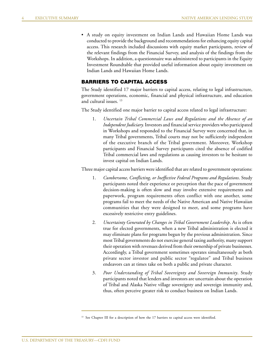• A study on equity investment on Indian Lands and Hawaiian Home Lands was conducted to provide the background and recommendations for enhancing equity capital access. This research included discussions with equity market participants, review of the relevant findings from the Financial Survey, and analysis of the findings from the Workshops. In addition, a questionnaire was administered to participants in the Equity Investment Roundtable that provided useful information about equity investment on Indian Lands and Hawaiian Home Lands.

#### BARRIERS TO CAPITAL ACCESS

The Study identified 17 major barriers to capital access, relating to legal infrastructure, government operations, economic, financial and physical infrastructure, and education and cultural issues. 13

The Study identified one major barrier to capital access related to legal infrastructure:

1. *Uncertain Tribal Commercial Laws and Regulations and the Absence of an Independent Judiciary.* Investors and financial service providers who participated in Workshops and responded to the Financial Survey were concerned that, in many Tribal governments, Tribal courts may not be sufficiently independent of the executive branch of the Tribal government. Moreover, Workshop participants and Financial Survey participants cited the absence of codified Tribal commercial laws and regulations as causing investors to be hesitant to invest capital on Indian Lands.

Three major capital access barriers were identified that are related to government operations:

- 1. *Cumbersome, Conflicting, or Ineffective Federal Programs and Regulations*. Study participants noted their experience or perception that the pace of government decision-making is often slow and may involve extensive requirements and paperwork, program requirements often conflict with one another, some programs fail to meet the needs of the Native American and Native Hawaiian communities that they were designed to meet, and some programs have excessively restrictive entry guidelines.
- 2*. Uncertainty Generated by Changes in Tribal Government Leadership*. As is often true for elected governments, when a new Tribal administration is elected it may eliminate plans for programs begun by the previous administration. Since most Tribal governments do not exercise general taxing authority, many support their operation with revenues derived from their ownership of private businesses. Accordingly, a Tribal government sometimes operates simultaneously as both private sector investor and public sector "regulator" and Tribal business endeavors can at times take on both a public and private character.
- 3. *Poor Understanding of Tribal Sovereignty and Sovereign Immunity*. Study participants noted that lenders and investors are uncertain about the operation of Tribal and Alaska Native village sovereignty and sovereign immunity and, thus, often perceive greater risk to conduct business on Indian Lands.

<sup>&</sup>lt;sup>13</sup> See Chapter III for a description of how the 17 barriers to capital access were identified.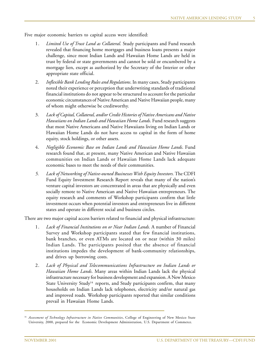Five major economic barriers to capital access were identified:

- 1. *Limited Use of Trust Land as Collateral*. Study participants and Fund research revealed that financing home mortgages and business loans presents a major challenge, since most Indian Lands and Hawaiian Home Lands are held in trust by federal or state governments and cannot be sold or encumbered by a mortgage lien, except as authorized by the Secretary of the Interior or other appropriate state official.
- 2. *Inflexible Bank Lending Rules and Regulations*. In many cases, Study participants noted their experience or perception that underwriting standards of traditional financial institutions do not appear to be structured to account for the particular economic circumstances of Native American and Native Hawaiian people, many of whom might otherwise be creditworthy.
- 3*. Lack of Capital, Collateral, and/or Credit Histories of Native Americans and Native Hawaiians on Indian Lands and Hawaiian Home Lands*. Fund research suggests that most Native Americans and Native Hawaiians living on Indian Lands or Hawaiian Home Lands do not have access to capital in the form of home equity, stock holdings, or other assets.
- 4. *Negligible Economic Base on Indian Lands and Hawaiian Home Lands*. Fund research found that, at present, many Native American and Native Hawaiian communities on Indian Lands or Hawaiian Home Lands lack adequate economic bases to meet the needs of their communities.
- *5. Lack of Networking of Native-owned Businesses With Equity Investors.* The CDFI Fund Equity Investment Research Report reveals that many of the nation's venture capital investors are concentrated in areas that are physically and even socially remote to Native American and Native Hawaiian entrepreneurs. The equity research and comments of Workshop participants confirm that little investment occurs when potential investors and entrepreneurs live in different states and operate in different social and business circles.

There are two major capital access barriers related to financial and physical infrastructure:

- 1. *Lack of Financial Institutions on or Near Indian Lands.* A number of Financial Survey and Workshop participants stated that few financial institutions, bank branches, or even ATMs are located on or near (within 30 miles) Indian Lands. The participants posited that the absence of financial institutions impedes the development of bank-community relationships, and drives up borrowing costs.
- 2. *Lack of Physical and Telecommunications Infrastructure on Indian Lands or Hawaiian Home Lands*. Many areas within Indian Lands lack the physical infrastructure necessary for business development and expansion. A New Mexico State University Study<sup>14</sup> reports, and Study participants confirm, that many households on Indian Lands lack telephones, electricity and/or natural gas and improved roads. Workshop participants reported that similar conditions prevail in Hawaiian Home Lands.

<sup>&</sup>lt;sup>14</sup> Assessment of Technology Infrastructure in Native Communities, College of Engineering of New Mexico State University, 2000, prepared for the Economic Development Administration, U.S. Department of Commerce.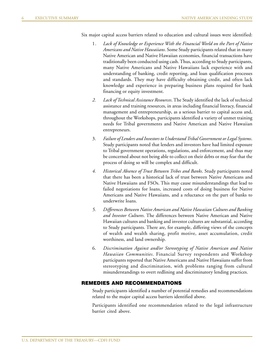Six major capital access barriers related to education and cultural issues were identified:

- 1. *Lack of Knowledge or Experience With the Financial World on the Part of Native Americans and Native Hawaiians*. Some Study participants related that in many Native American and Native Hawaiian economies, financial transactions have traditionally been conducted using cash. Thus, according to Study participants, many Native Americans and Native Hawaiians lack experience with and understanding of banking, credit reporting, and loan qualification processes and standards. They may have difficulty obtaining credit, and often lack knowledge and experience in preparing business plans required for bank financing or equity investment.
- *2. Lack of Technical Assistance Resources*. The Study identified the lack of technical assistance and training resources, in areas including financial literacy, financial management and entrepreneurship, as a serious barrier to capital access and, throughout the Workshops, participants identified a variety of unmet training needs for Tribal governments and Native American and Native Hawaiian entrepreneurs.
- 3. *Failure of Lenders and Investors to Understand Tribal Government or Legal Systems*. Study participants noted that lenders and investors have had limited exposure to Tribal government operations, regulations, and enforcement, and thus may be concerned about not being able to collect on their debts or may fear that the process of doing so will be complex and difficult.
- *4. Historical Absence of Trust Between Tribes and Banks*. Study participants noted that there has been a historical lack of trust between Native Americans and Native Hawaiians and FSOs. This may cause misunderstandings that lead to failed negotiations for loans, increased costs of doing business for Native Americans and Native Hawaiians, and a reluctance on the part of banks to underwrite loans.
- *5. Differences Between Native American and Native Hawaiian Cultures and Banking and Investor Cultures*. The differences between Native American and Native Hawaiian cultures and banking and investor cultures are substantial, according to Study participants. There are, for example, differing views of the concepts of wealth and wealth sharing, profit motive, asset accumulation, credit worthiness, and land ownership.
- 6. *Discrimination Against and/or Stereotyping of Native American and Native Hawaiian Communities*. Financial Survey respondents and Workshop participants reported that Native Americans and Native Hawaiians suffer from stereotyping and discrimination, with problems ranging from cultural misunderstandings to overt redlining and discriminatory lending practices.

#### REMEDIES AND RECOMMENDATIONS

Study participants identified a number of potential remedies and recommendations related to the major capital access barriers identified above.

Participants identified one recommendation related to the legal infrastructure barrier cited above.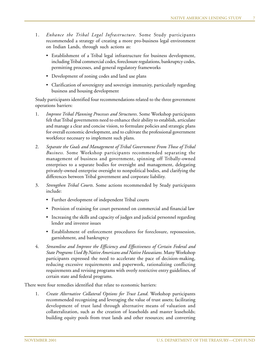- 1. *Enhance the Tribal Legal Infrastructure*. Some Study participants recommended a strategy of creating a more pro-business legal environment on Indian Lands, through such actions as:
	- Establishment of a Tribal legal infrastructure for business development, including Tribal commercial codes, foreclosure regulations, bankruptcy codes, permitting processes, and general regulatory frameworks
	- Development of zoning codes and land use plans
	- Clarification of sovereignty and sovereign immunity, particularly regarding business and housing development

Study participants identified four recommendations related to the three government operations barriers:

- 1. *Improve Tribal Planning Processes and Structures*. Some Workshop participants felt that Tribal governments need to enhance their ability to establish, articulate and manage a clear and concise vision, to formulate policies and strategic plans for overall economic development, and to cultivate the professional government workforce necessary to implement such plans.
- 2. *Separate the Goals and Management of Tribal Government From Those of Tribal Business.* Some Workshop participants recommended separating the management of business and government, spinning off Tribally-owned enterprises to a separate bodies for oversight and management, delegating privately-owned enterprise oversight to nonpolitical bodies, and clarifying the differences between Tribal government and corporate liability.
- 3. *Strengthen Tribal Courts*. Some actions recommended by Study participants include:
	- Further development of independent Tribal courts
	- Provision of training for court personnel on commercial and financial law
	- Increasing the skills and capacity of judges and judicial personnel regarding lender and investor issues
	- Establishment of enforcement procedures for foreclosure, repossession, garnishment, and bankruptcy
- 4. *Streamline and Improve the Efficiency and Effectiveness of Certain Federal and State Programs Used By Native Americans and Native Hawaiians.* Many Workshop participants expressed the need to accelerate the pace of decision-making, reducing excessive requirements and paperwork, rationalizing conflicting requirements and revising programs with overly restrictive entry guidelines, of certain state and federal programs.

There were four remedies identified that relate to economic barriers:

1. *Create Alternative Collateral Options for Trust Land*. Workshop participants recommended recognizing and leveraging the value of trust assets; facilitating development of trust land through alternative means of valuation and collateralization, such as the creation of leaseholds and master leaseholds; building equity pools from trust lands and other resources; and converting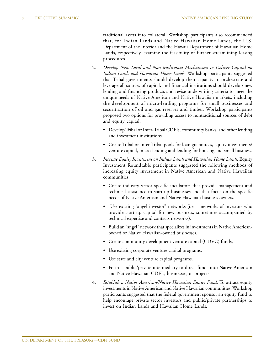traditional assets into collateral. Workshop participants also recommended that, for Indian Lands and Native Hawaiian Home Lands, the U.S. Department of the Interior and the Hawaii Department of Hawaiian Home Lands, respectively, examine the feasibility of further streamlining leasing procedures.

- 2. *Develop New Local and Non-traditional Mechanisms to Deliver Capital on Indian Lands and Hawaiian Home Lands*. Workshop participants suggested that Tribal governments should develop their capacity to orchestrate and leverage all sources of capital, and financial institutions should develop new lending and financing products and revise underwriting criteria to meet the unique needs of Native American and Native Hawaiian markets, including the development of micro-lending programs for small businesses and securitization of oil and gas reserves and timber. Workshop participants proposed two options for providing access to nontraditional sources of debt and equity capital:
	- Develop Tribal or Inter-Tribal CDFIs, community banks, and other lending and investment institutions.
	- Create Tribal or Inter-Tribal pools for loan guarantees, equity investments/ venture capital, micro-lending and lending for housing and small business.
- 3. *Increase Equity Investment on Indian Lands and Hawaiian Home Lands.* Equity Investment Roundtable participants suggested the following methods of increasing equity investment in Native American and Native Hawaiian communities:
	- Create industry sector specific incubators that provide management and technical assistance to start-up businesses and that focus on the specific needs of Native American and Native Hawaiian business owners.
	- Use existing "angel investor" networks (i.e. networks of investors who provide start-up capital for new business, sometimes accompanied by technical expertise and contacts networks).
	- Build an "angel" network that specializes in investments in Native Americanowned or Native Hawaiian-owned businesses.
	- Create community development venture capital (CDVC) funds,
	- Use existing corporate venture capital programs.
	- Use state and city venture capital programs.
	- Form a public/private intermediary to direct funds into Native American and Native Hawaiian CDFIs, businesses, or projects.
- 4. *Establish a Native American/Native Hawaiian Equity Fund*. To attract equity investments in Native American and Native Hawaiian communities, Workshop participants suggested that the federal government sponsor an equity fund to help encourage private sector investors and public/private partnerships to invest on Indian Lands and Hawaiian Home Lands.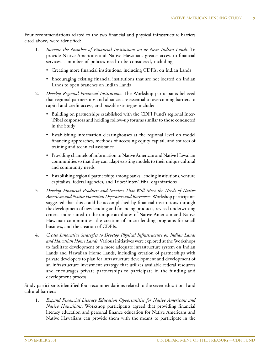Four recommendations related to the two financial and physical infrastructure barriers cited above, were identified:

- 1. *Increase the Number of Financial Institutions on or Near Indian Lands*. To provide Native Americans and Native Hawaiians greater access to financial services, a number of policies need to be considered, including:
	- Creating more financial institutions, including CDFIs, on Indian Lands
	- Encouraging existing financial institutions that are not located on Indian Lands to open branches on Indian Lands
- 2. *Develop Regional Financial Institutions.* The Workshop participants believed that regional partnerships and alliances are essential to overcoming barriers to capital and credit access, and possible strategies include:
	- Building on partnerships established with the CDFI Fund's regional Inter-Tribal cosponsors and holding follow-up forums similar to those conducted in the Study
	- Establishing information clearinghouses at the regional level on model financing approaches, methods of accessing equity capital, and sources of training and technical assistance
	- Providing channels of information to Native American and Native Hawaiian communities so that they can adapt existing models to their unique cultural and community needs
	- Establishing regional partnerships among banks, lending institutions, venture capitalists, federal agencies, and Tribes/Inter-Tribal organizations
- 3. *Develop Financial Products and Services That Will Meet the Needs of Native American and Native Hawaiian Depositors and Borrowers*. Workshop participants suggested that this could be accomplished by financial institutions through the development of new lending and financing products, revised underwriting criteria more suited to the unique attributes of Native American and Native Hawaiian communities, the creation of micro lending programs for small business, and the creation of CDFIs.
- 4. *Create Innovative Strategies to Develop Physical Infrastructure on Indian Lands and Hawaiian Home Lands*. Various initiatives were explored at the Workshops to facilitate development of a more adequate infrastructure system on Indian Lands and Hawaiian Home Lands, including creation of partnerships with private developers to plan for infrastructure development and development of an infrastructure investment strategy that utilizes available federal resources and encourages private partnerships to participate in the funding and development process.

Study participants identified four recommendations related to the seven educational and cultural barriers:

1. *Expand Financial Literacy Education Opportunities for Native Americans and Native Hawaiians*. Workshop participants agreed that providing financial literacy education and personal finance education for Native Americans and Native Hawaiians can provide them with the means to participate in the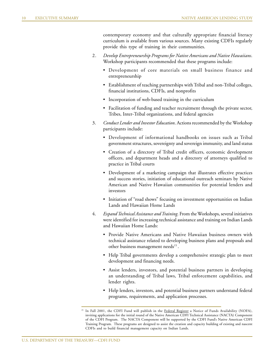contemporary economy and that culturally appropriate financial literacy curriculum is available from various sources. Many existing CDFIs regularly provide this type of training in their communities.

- 2. *Develop Entrepreneurship Programs for Native Americans and Native Hawaiians*. Workshop participants recommended that these programs include:
	- Development of core materials on small business finance and entrepreneurship
	- Establishment of teaching partnerships with Tribal and non-Tribal colleges, financial institutions, CDFIs, and nonprofits
	- Incorporation of web-based training in the curriculum
	- Facilitation of funding and teacher recruitment through the private sector, Tribes, Inter-Tribal organizations, and federal agencies
- 3. *Conduct Lender and Investor Education*. Actions recommended by the Workshop participants include:
	- Development of informational handbooks on issues such as Tribal government structures, sovereignty and sovereign immunity, and land status
	- Creation of a directory of Tribal credit officers, economic development officers, and department heads and a directory of attorneys qualified to practice in Tribal courts
	- Development of a marketing campaign that illustrates effective practices and success stories, initiation of educational outreach seminars by Native American and Native Hawaiian communities for potential lenders and investors
	- Initiation of "road shows" focusing on investment opportunities on Indian Lands and Hawaiian Home Lands
- 4. *Expand Technical Assistance and Training*. From the Workshops, several initiatives were identified for increasing technical assistance and training on Indian Lands and Hawaiian Home Lands:
	- Provide Native Americans and Native Hawaiian business owners with technical assistance related to developing business plans and proposals and other business management needs<sup>15</sup>.
	- Help Tribal governments develop a comprehensive strategic plan to meet development and financing needs.
	- Assist lenders, investors, and potential business partners in developing an understanding of Tribal laws, Tribal enforcement capabilities, and lender rights.
	- Help lenders, investors, and potential business partners understand federal programs, requirements, and application processes.

<sup>&</sup>lt;sup>15</sup> In Fall 2001, the CDFI Fund will publish in the Federal Register a Notice of Funds Availability (NOFA), inviting applications for the initial round of the Native American CDFI Technical Assistance (NACTA) Component of the CDFI Program. The NACTA Component will be supported by the CDFI Fund's Native American CDFI Training Program. These programs are designed to assist the creation and capacity building of existing and nascent CDFIs and to build financial management capacity on Indian Lands.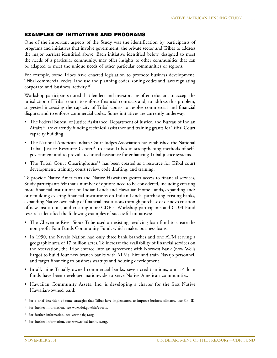#### EXAMPLES OF INITIATIVES AND PROGRAMS

One of the important aspects of the Study was the identification by participants of programs and initiatives that involve government, the private sector and Tribes to address the major barriers identified above. Each initiative identified below, designed to meet the needs of a particular community, may offer insights to other communities that can be adapted to meet the unique needs of other particular communities or regions.

For example, some Tribes have enacted legislation to promote business development, Tribal commercial codes, land use and planning codes, zoning codes and laws regulating corporate and business activity.16

Workshop participants noted that lenders and investors are often reluctant to accept the jurisdiction of Tribal courts to enforce financial contracts and, to address this problem, suggested increasing the capacity of Tribal courts to resolve commercial and financial disputes and to enforce commercial codes. Some initiatives are currently underway:

- The Federal Bureau of Justice Assistance, Department of Justice, and Bureau of Indian Affairs<sup>17</sup> are currently funding technical assistance and training grants for Tribal Court capacity building.
- The National American Indian Court Judges Association has established the National Tribal Justice Resource Center<sup>18</sup> to assist Tribes in strengthening methods of selfgovernment and to provide technical assistance for enhancing Tribal justice systems.
- The Tribal Court Clearinghouse<sup>19</sup> has been created as a resource for Tribal court development, training, court review, code drafting, and training.

To provide Native Americans and Native Hawaiians greater access to financial services, Study participants felt that a number of options need to be considered, including creating more financial institutions on Indian Lands and Hawaiian Home Lands, expanding and/ or rebuilding existing financial institutions on Indian Lands, purchasing existing banks, expanding Native-ownership of financial institutions through purchase or de novo creation of new institutions, and creating more CDFIs. Workshop participants and CDFI Fund research identified the following examples of successful initiatives:

- The Cheyenne River Sioux Tribe used an existing revolving loan fund to create the non-profit Four Bands Community Fund, which makes business loans.
- In 1990, the Navajo Nation had only three bank branches and one ATM serving a geographic area of 17 million acres. To increase the availability of financial services on the reservation, the Tribe entered into an agreement with Norwest Bank (now Wells Fargo) to build four new branch banks with ATMs, hire and train Navajo personnel, and target financing to business startups and housing development.
- In all, nine Tribally-owned commercial banks, seven credit unions, and 14 loan funds have been developed nationwide to serve Native American communities.
- Hawaiian Community Assets, Inc. is developing a charter for the first Native Hawaiian-owned bank.

<sup>&</sup>lt;sup>16</sup> For a brief descrition of some strategies that Tribes have implemented to improve business climates, see Ch. III.

<sup>&</sup>lt;sup>17</sup> For further information, see www.doi.gov/bia/courts.

<sup>&</sup>lt;sup>18</sup> For further information, see www.naicja.org.

<sup>&</sup>lt;sup>19</sup> For further information, see www.tribal-institute.org.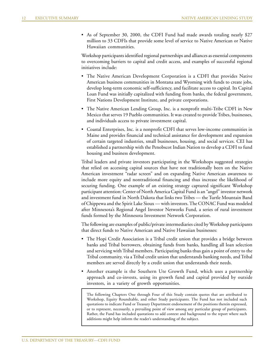• As of September 30, 2000, the CDFI Fund had made awards totaling nearly \$27 million to 33 CDFIs that provide some level of service to Native American or Native Hawaiian communities.

Workshop participants identified regional partnerships and alliances as essential components to overcoming barriers to capital and credit access, and examples of successful regional initiatives include:

- The Native American Development Corporation is a CDFI that provides Native American business communities in Montana and Wyoming with funds to create jobs, develop long-term economic self-sufficiency, and facilitate access to capital. Its Capital Loan Fund was initially capitalized with funding from banks, the federal government, First Nations Development Institute, and private corporations.
- The Native American Lending Group, Inc. is a nonprofit multi-Tribe CDFI in New Mexico that serves 19 Pueblo communities. It was created to provide Tribes, businesses, and individuals access to private investment capital.
- Coastal Enterprises, Inc. is a nonprofit CDFI that serves low-income communities in Maine and provides financial and technical assistance for development and expansion of certain targeted industries, small businesses, housing, and social services. CEI has established a partnership with the Penobscot Indian Nation to develop a CDFI to fund housing and business development.

Tribal leaders and private investors participating in the Workshops suggested strategies that relied on accessing capital sources that have not traditionally been on the Native American investment "radar screen" and on expanding Native American awareness to include more equity and nontraditional financing and thus increase the likelihood of securing funding. One example of an existing strategy captured significant Workshop participant attention: Center of North America Capital Fund is an "angel" investor network and investment fund in North Dakota that links two Tribes — the Turtle Mountain Band of Chippewa and the Spirit Lake Sioux — with investors. The CONAC Fund was modeled after Minnesota's Regional Angel Investor Networks Fund, a series of rural investment funds formed by the Minnesota Investment Network Corporation.

The following are examples of public/private intermediaries cited by Workshop participants that direct funds to Native American and Native Hawaiian businesses:

- The Hopi Credit Association is a Tribal credit union that provides a bridge between banks and Tribal borrowers, obtaining funds from banks, handling all loan selection and servicing with Tribal members. Participating banks thus gain a point of entry to the Tribal community, via a Tribal credit union that understands banking needs, and Tribal members are served directly by a credit union that understands their needs.
- Another example is the Southern Ute Growth Fund, which uses a partnership approach and co-invests, using its growth fund and capital provided by outside investors, in a variety of growth opportunities.

The following Chapters One through Four of this Study contain quotes that are attributed to Workshop, Equity Roundtable, and other Study participants. The Fund has not included such quotations to indicate Fund or Treasury Department endorsement of the positions therein expressed, or to represent, necessarily, a prevailing point of view among any particular group of participants. Rather, the Fund has included quotations to add context and background to the report where such additions might help inform the reader's understanding of the subject.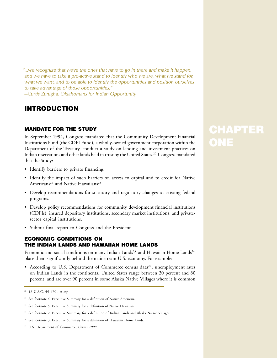*"…we recognize that we're the ones that have to go in there and make it happen, and we have to take a pro-active stand to identify who we are, what we stand for, what we want, and to be able to identify the opportunities and position ourselves to take advantage of those opportunities."*

*—Curtis Zunigha, Oklahomans for Indian Opportunity*

### INTRODUCTION

#### MANDATE FOR THE STUDY

In September 1994, Congress mandated that the Community Development Financial Institutions Fund (the CDFI Fund), a wholly-owned government corporation within the Department of the Treasury, conduct a study on lending and investment practices on Indian reservations and other lands held in trust by the United States.20 Congress mandated that the Study:

- Identify barriers to private financing.
- Identify the impact of such barriers on access to capital and to credit for Native Americans<sup>21</sup> and Native Hawaiians<sup>22</sup>
- Develop recommendations for statutory and regulatory changes to existing federal programs.
- Develop policy recommendations for community development financial institutions (CDFIs), insured depository institutions, secondary market institutions, and privatesector capital institutions.
- Submit final report to Congress and the President.

#### ECONOMIC CONDITIONS ON THE INDIAN LANDS AND HAWAIIAN HOME LANDS

Economic and social conditions on many Indian Lands<sup>23</sup> and Hawaiian Home Lands<sup>24</sup> place them significantly behind the mainstream U.S. economy. For example:

• According to U.S. Department of Commerce census data<sup>25</sup>, unemployment rates on Indian Lands in the continental United States range between 20 percent and 80 percent, and are over 90 percent in some Alaska Native Villages where it is common

# CHAPTER ONE

<sup>20</sup> 12 U.S.C. §§ 4701 *et seq.*

<sup>&</sup>lt;sup>21</sup> See footnote 4, Executive Summary for a definition of Native American.

<sup>&</sup>lt;sup>22</sup> See footnote 5, Executive Summary for a definition of Native Hawaiian.

<sup>&</sup>lt;sup>23</sup> See footnote 2, Executive Summary for a definition of Indian Lands and Alaska Native Villages.

<sup>&</sup>lt;sup>24</sup> See footnote 3, Executive Summary for a definition of Hawaiian Home Lands.

<sup>25</sup> U.S. Department of Commerce, *Census 1990*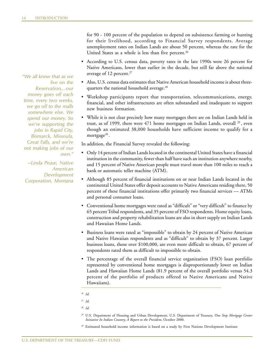*"We all know that as we live on the Reservation,…our money goes off each time, every two weeks, we go off to the malls somewhere else. We spend our money. So we're supporting the jobs in Rapid City, Bismarck, Missoula, Great Falls, and we're not making jobs of our own."*

*—Linda Pease, Native American Development Corporation, Montana* for 90 - 100 percent of the population to depend on subsistence farming or hunting for their livelihood, according to Financial Survey respondents. Average unemployment rates on Indian Lands are about 50 percent, whereas the rate for the United States as a whole is less than five percent.<sup>26</sup>

- According to U.S. census data, poverty rates in the late 1990s were 26 percent for Native Americans, lower than earlier in the decade, but still far above the national average of 12 percent. $27$
- Also, U.S. census data estimates that Native American household income is about threequarters the national household average.<sup>28</sup>
- Workshop participants report that transportation, telecommunications, energy, financial, and other infrastructures are often substandard and inadequate to support new business formation.
- While it is not clear precisely how many mortgages there are on Indian Lands held in trust, as of 1999, there were  $471$  home mortgages on Indian Lands, overall  $^{29}$ , even though an estimated 38,000 households have sufficient income to qualify for a mortgage<sup>30</sup>.

In addition, the Financial Survey revealed the following:

- Only 14 percent of Indian Lands located in the continental United States have a financial institution in the community, fewer than half have such an institution anywhere nearby, and 15 percent of Native American people must travel more than 100 miles to reach a bank or automatic teller machine (ATM).
- Although 85 percent of financial institutions on or near Indian Lands located in the continental United States offer deposit accounts to Native Americans residing there, 50 percent of these financial institutions offer primarily two financial services — ATMs and personal consumer loans.
- Conventional home mortgages were rated as "difficult" or "very difficult" to finance by 65 percent Tribal respondents, and 35 percent of FSO respondents. Home equity loans, construction and property rehabilitation loans are also in short supply on Indian Lands and Hawaiian Home Lands.
- Business loans were rated as "impossible" to obtain by 24 percent of Native American and Native Hawaiian respondents and as "difficult" to obtain by 37 percent. Larger business loans, those over \$100,000, are even more difficult to obtain, 67 percent of respondents rated them as difficult to impossible to obtain.
- The percentage of the overall financial service organization (FSO) loan portfolio represented by conventional home mortgages is disproportionately lower on Indian Lands and Hawaiian Home Lands (81.9 percent of the overall portfolio versus 54.3 percent of the portfolio of products offered to Native Americans and Native Hawaiians).
- <sup>26</sup> *Id.*
- <sup>27</sup> *Id.*
- <sup>28</sup> *Id.*
- <sup>29</sup> U.S. Department of Housing and Urban Development, U.S. Department of Treasury, *One Stop Mortgage Center Initiative In Indian Country, A Report to the President*, October 2000.
- <sup>30</sup> Estimated household income information is based on a study by First Nations Development Institute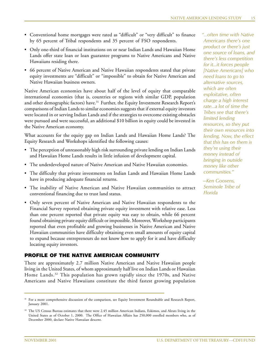- Conventional home mortgages were rated as "difficult" or "very difficult" to finance by 65 percent of Tribal respondents and 35 percent of FSO respondents.
- Only one-third of financial institutions on or near Indian Lands and Hawaiian Home Lands offer state loan or loan guarantee programs to Native Americans and Native Hawaiians residing there.
- 66 percent of Native American and Native Hawaiian respondents stated that private equity investments are "difficult" or "impossible" to obtain for Native American and Native Hawaiian business owners.

Native American economies have about half of the level of equity that comparable international economies (that is, countries or regions with similar GDP, population and other demographic factors) have.31 Further, the Equity Investment Research Report's comparisons of Indian Lands to similar economies suggests that if external equity investors were located in or serving Indian Lands and if the strategies to overcome existing obstacles were pursued and were successful, an additional \$10 billion in equity could be invested in the Native American economy.

What accounts for the equity gap on Indian Lands and Hawaiian Home Lands? The Equity Research and Workshops identified the following causes:

- The perception of unreasonably high risk surrounding private lending on Indian Lands and Hawaiian Home Lands results in little infusion of development capital.
- The underdeveloped nature of Native American and Native Hawaiian economies.
- The difficulty that private investments on Indian Lands and Hawaiian Home Lands have in producing adequate financial returns.
- The inability of Native American and Native Hawaiian communities to attract conventional financing due to trust land status.
- Only seven percent of Native American and Native Hawaiian respondents to the Financial Survey reported obtaining private equity investment with relative ease. Less than one percent reported that private equity was easy to obtain, while 66 percent found obtaining private equity difficult or impossible. Moreover, Workshop participants reported that even profitable and growing businesses in Native American and Native Hawaiian communities have difficulty obtaining even small amounts of equity capital to expand because entrepreneurs do not know how to apply for it and have difficulty locating equity investors.

### PROFILE OF THE NATIVE AMERICAN COMMUNITY

There are approximately 2.7 million Native American and Native Hawaiian people living in the United States, of whom approximately half live on Indian Lands or Hawaiian Home Lands.32 This population has grown rapidly since the 1970s, and Native Americans and Native Hawaiians constitute the third fastest growing population *"…often time with Native Americans there's one product or there's just one source of loans, and there's less competition for it…it forces people [Native Americans] who need loans to go to alternative sources, which are often exploitative, often charge a high interest rate…a lot of time the Tribes see that there's limited lending resources, so they put their own resources into lending. Now, the effect that this has on them is they're using their money instead of bringing in outside money like other communities."*

*—Ken Goosens, Seminole Tribe of Florida*

<sup>&</sup>lt;sup>31</sup> For a more comprehensive discussion of the comparison, see Equity Investment Roundtable and Research Report, January 2001.

<sup>&</sup>lt;sup>32</sup> The US Census Bureau estimates that there were 2.45 million American Indians, Eskimos, and Aleuts living in the United States as of October 1, 2000. The Office of Hawaiian Affairs has 250,000 enrolled members who, as of December 2000, declare Native Hawaiian descent.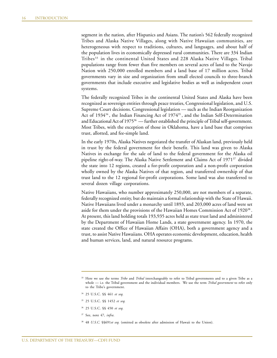segment in the nation, after Hispanics and Asians. The nation's 562 federally recognized Tribes and Alaska Native Villages, along with Native Hawaiian communities, are heterogeneous with respect to traditions, cultures, and languages, and about half of the population lives in economically depressed rural communities. There are 334 Indian Tribes<sup>33</sup> in the continental United States and 228 Alaska Native Villages. Tribal populations range from fewer than five members on several acres of land to the Navajo Nation with 250,000 enrolled members and a land base of 17 million acres. Tribal governments vary in size and organization from small elected councils to three-branch governments that include executive and legislative bodies as well as independent court systems.

The federally recognized Tribes in the continental United States and Alaska have been recognized as sovereign entities through peace treaties, Congressional legislation, and U.S. Supreme Court decisions. Congressional legislation — such as the Indian Reorganization Act of 1934<sup>34</sup>, the Indian Financing Act of  $1974^{35}$ , and the Indian Self-Determination and Educational Act of 1975<sup>36</sup> — further established the principle of Tribal self-government. Most Tribes, with the exception of those in Oklahoma, have a land base that comprises trust, allotted, and fee-simple land.

In the early 1970s, Alaska Natives negotiated the transfer of Alaskan land, previously held in trust by the federal government for their benefit. This land was given to Alaska Natives in exchange for the sale of land to the federal government for the Alaska oil pipeline right-of-way. The Alaska Native Settlement and Claims Act of  $1971<sup>37</sup>$  divided the state into 12 regions, created a for-profit corporation and a non-profit corporation wholly owned by the Alaska Natives of that region, and transferred ownership of that trust land to the 12 regional for-profit corporations. Some land was also transferred to several dozen village corporations.

Native Hawaiians, who number approximately 250,000, are not members of a separate, federally recognized entity, but do maintain a formal relationship with the State of Hawaii. Native Hawaiians lived under a monarchy until 1893, and 203,000 acres of land were set aside for them under the provisions of the Hawaiian Homes Commission Act of  $1920^{38}$ . At present, this land holding totals 193,935 acres held as state trust land and administered by the Department of Hawaiian Home Lands, a state government agency. In 1970, the state created the Office of Hawaiian Affairs (OHA), both a government agency and a trust, to assist Native Hawaiians. OHA operates economic development, education, health and human services, land, and natural resource programs.

- <sup>35</sup> 25 U.S.C. §§ 1452 *et seq.*
- <sup>36</sup> 25 U.S.C. §§ 450 *et seq.*
- <sup>37</sup> See, note 47, *infra*.
- <sup>38</sup> 48 *U.S.C.* §§691*et seq.* (omitted as obsolete after admission of Hawaii to the Union).

<sup>33</sup> Here we use the terms *Tribe* and *Tribal* interchangeably to refer to Tribal governments and to a given Tribe as a whole — i.e. the Tribal government and the individual members. We use the term *Tribal government* to refer only to the Tribe's government.

<sup>34</sup> 25 U.S.C. §§ 461 *et seq.*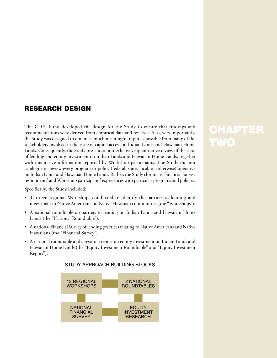## RESEARCH DESIGN

The CDFI Fund developed the design for the Study to ensure that findings and recommendations were derived from empirical data and research. Also, very importantly, the Study was designed to obtain as much meaningful input as possible from many of the stakeholders involved in the issue of capital access on Indian Lands and Hawaiian Home Lands. Consequently, the Study presents a non-exhaustive quantitative review of the state of lending and equity investment on Indian Lands and Hawaiian Home Lands, together with qualitative information reported by Workshop participants. The Study did not catalogue or review every program or policy (federal, state, local, or otherwise) operative on Indian Lands and Hawaiian Home Lands. Rather, the Study chronicles Financial Survey respondents' and Workshop participants' experiences with particular programs and policies.

Specifically, the Study included:

- Thirteen regional Workshops conducted to identify the barriers to lending and investment in Native American and Native Hawaiian communities (the "Workshops").
- A national roundtable on barriers to lending on Indian Lands and Hawaiian Home Lands (the "National Roundtable").
- A national Financial Survey of lending practices relating to Native Americans and Native Hawaiians (the "Financial Survey").
- A national roundtable and a research report on equity investment on Indian Lands and Hawaiian Home Lands (the "Equity Investment Roundtable" and "Equity Investment Report").



#### STUDY APPROACH BUILDING BLOCKS

# CHAPTER TWO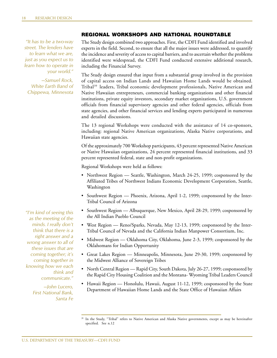*"It has to be a two-way street. The lenders have to learn what we are, just as you expect us to learn how to operate in your world."*

*—Samuel Rock, White Earth Band of Chippewa, Minnesota*

*"I'm kind of seeing this as the meeting of the minds. I really don't think that there is a right answer and a wrong answer to all of these issues that are coming together; it's coming together in knowing how we each think and communicate."*

> *—John Lucero, First National Bank, Santa Fe*

#### REGIONAL WORKSHOPS AND NATIONAL ROUNDTABLE

The Study design combined two approaches. First, the CDFI Fund identified and involved experts in the field. Second, to ensure that all the major issues were addressed, to quantify the incidence and severity of access to capital barriers, and to ascertain whether the problems identified were widespread, the CDFI Fund conducted extensive additional research, including the Financial Survey.

The Study design ensured that input from a substantial group involved in the provision of capital access on Indian Lands and Hawaiian Home Lands would be obtained. Tribal<sup>39</sup> leaders, Tribal economic development professionals, Native American and Native Hawaiian entrepreneurs, commercial banking organizations and other financial institutions, private equity investors, secondary market organizations, U.S. government officials from financial supervisory agencies and other federal agencies, officials from state agencies, and other financial services and lending experts participated in numerous and detailed discussions.

The 13 regional Workshops were conducted with the assistance of 14 co-sponsors, including: regional Native American organizations, Alaska Native corporations, and Hawaiian state agencies.

Of the approximately 700 Workshop participants, 43 percent represented Native American or Native Hawaiian organizations, 24 percent represented financial institutions, and 33 percent represented federal, state and non-profit organizations.

Regional Workshops were held as follows:

- Northwest Region Seattle, Washington, March 24-25, 1999; cosponsored by the Affiliated Tribes of Northwest Indians Economic Development Corporation, Seattle, Washington
- Southwest Region Phoenix, Arizona, April 1-2, 1999; cosponsored by the Inter-Tribal Council of Arizona
- Southwest Region Albuquerque, New Mexico, April 28-29, 1999; cosponsored by the All Indian Pueblo Council
- West Region Reno/Sparks, Nevada, May 12-13, 1999; cosponsored by the Inter-Tribal Council of Nevada and the California Indian Manpower Consortium, Inc.
- Midwest Region Oklahoma City, Oklahoma, June 2-3, 1999; cosponsored by the Oklahomans for Indian Opportunity
- Great Lakes Region Minneapolis, Minnesota, June 29-30, 1999; cosponsored by the Midwest Alliance of Sovereign Tribes
- North Central Region Rapid City, South Dakota, July 26-27, 1999; cosponsored by the Rapid City Housing Coalition and the Montana- Wyoming Tribal Leaders Council
- Hawaii Region Honolulu, Hawaii, August 11-12, 1999; cosponsored by the State Department of Hawaiian Home Lands and the State Office of Hawaiian Affairs

<sup>39</sup> In the Study, "Tribal" refers to Native American and Alaska Native governments, except as may be hereinafter specified. See n.12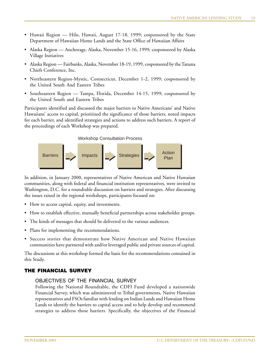- Hawaii Region Hilo, Hawaii, August 17-18, 1999; cosponsored by the State Department of Hawaiian Home Lands and the State Office of Hawaiian Affairs
- Alaska Region Anchorage, Alaska, November 15-16, 1999; cosponsored by Alaska Village Initiatives
- Alaska Region Fairbanks, Alaska, November 18-19, 1999, cosponsored by the Tanana Chiefs Conference, Inc.
- Northeastern Region-Mystic, Connecticut, December 1-2, 1999; cosponsored by the United South And Eastern Tribes
- Southeastern Region Tampa, Florida, December 14-15, 1999; cosponsored by the United South and Eastern Tribes

Participants identified and discussed the major barriers to Native Americans' and Native Hawaiians' access to capital, prioritized the significance of those barriers, noted impacts for each barrier, and identified strategies and actions to address such barriers. A report of the proceedings of each Workshop was prepared.





In addition, in January 2000, representatives of Native American and Native Hawaiian communities, along with federal and financial institution representatives, were invited to Washington, D.C. for a roundtable discussion on barriers and strategies. After discussing the issues raised in the regional workshops, participants focused on:

- How to access capital, equity, and investments.
- How to establish effective, mutually beneficial partnerships across stakeholder groups.
- The kinds of messages that should be delivered to the various audiences.
- Plans for implementing the recommendations.
- Success stories that demonstrate how Native American and Native Hawaiian communities have partnered with and/or leveraged public and private sources of capital.

The discussions at this workshop formed the basis for the recommendations contained in this Study.

#### THE FINANCIAL SURVEY

#### OBJECTIVES OF THE FINANCIAL SURVEY

Following the National Roundtable, the CDFI Fund developed a nationwide Financial Survey, which was administered to Tribal governments, Native Hawaiian representatives and FSOs familiar with lending on Indian Lands and Hawaiian Home Lands to identify the barriers to capital access and to help develop and recommend strategies to address those barriers. Specifically, the objectives of the Financial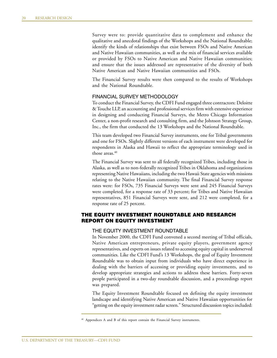Survey were to: provide quantitative data to complement and enhance the qualitative and anecdotal findings of the Workshops and the National Roundtable; identify the kinds of relationships that exist between FSOs and Native American and Native Hawaiian communities, as well as the mix of financial services available or provided by FSOs to Native American and Native Hawaiian communities; and ensure that the issues addressed are representative of the diversity of both Native American and Native Hawaiian communities and FSOs.

The Financial Survey results were then compared to the results of Workshops and the National Roundtable.

#### FINANCIAL SURVEY METHODOLOGY

To conduct the Financial Survey, the CDFI Fund engaged three contractors: Deloitte & Touche LLP, an accounting and professional services firm with extensive experience in designing and conducting Financial Surveys, the Metro Chicago Information Center, a non-profit research and consulting firm, and the Johnson Strategy Group, Inc., the firm that conducted the 13 Workshops and the National Roundtable.

This team developed two Financial Survey instruments, one for Tribal governments and one for FSOs. Slightly different versions of each instrument were developed for respondents in Alaska and Hawaii to reflect the appropriate terminology used in those areas  $40$ 

The Financial Survey was sent to all federally recognized Tribes, including those in Alaska, as well as to non-federally recognized Tribes in Oklahoma and organizations representing Native Hawaiians, including the two Hawaii State agencies with missions relating to the Native Hawaiian community. The final Financial Survey response rates were: for FSOs, 735 Financial Surveys were sent and 245 Financial Surveys were completed, for a response rate of 33 percent; for Tribes and Native Hawaiian representatives, 851 Financial Surveys were sent, and 212 were completed, for a response rate of 25 percent.

#### THE EQUITY INVESTMENT ROUNDTABLE AND RESEARCH REPORT ON EQUITY INVESTMENT

#### THE EQUITY INVESTMENT ROUNDTABLE

In November 2000, the CDFI Fund convened a second meeting of Tribal officials, Native American entrepreneurs, private equity players, government agency representatives, and experts on issues related to accessing equity capital in underserved communities. Like the CDFI Fund's 13 Workshops, the goal of Equity Investment Roundtable was to obtain input from individuals who have direct experience in dealing with the barriers of accessing or providing equity investments, and to develop appropriate strategies and actions to address these barriers. Forty-seven people participated in a two-day roundtable discussion, and a proceedings report was prepared.

The Equity Investment Roundtable focused on defining the equity investment landscape and identifying Native American and Native Hawaiian opportunities for "getting on the equity investment radar screen." Structured discussion topics included:

<sup>&</sup>lt;sup>40</sup> Appendices A and B of this report contain the Financial Survey instruments.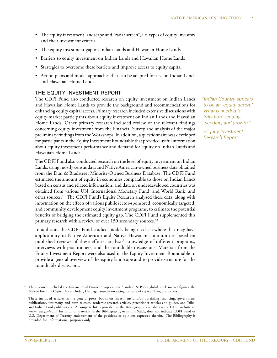- The equity investment landscape and "radar screen", i.e. types of equity investors and their investment criteria
- The equity investment gap on Indian Lands and Hawaiian Home Lands
- Barriers to equity investment on Indian Lands and Hawaiian Home Lands
- Strategies to overcome these barriers and improve access to equity capital
- Action plans and model approaches that can be adapted for use on Indian Lands and Hawaiian Home Lands

#### THE EQUITY INVESTMENT REPORT

The CDFI Fund also conducted research on equity investment on Indian Lands and Hawaiian Home Lands to provide the background and recommendations for enhancing equity capital access. Primary research included extensive discussions with equity market participants about equity investment on Indian Lands and Hawaiian Home Lands. Other primary research included review of the relevant findings concerning equity investment from the Financial Survey and analysis of the major preliminary findings from the Workshops. In addition, a questionnaire was developed for participants in the Equity Investment Roundtable that provided useful information about equity investment performance and demand for equity on Indian Lands and Hawaiian Home Lands.

The CDFI Fund also conducted research on the level of equity investment on Indian Lands, using mostly census data and Native American-owned business data obtained from the Dun & Bradstreet Minority-Owned Business Database. The CDFI Fund estimated the amount of equity in economies comparable to those on Indian Lands based on census and related information, and data on underdeveloped countries was obtained from various UN, International Monetary Fund, and World Bank, and other sources.41 The CDFI Fund's Equity Research analyzed these data, along with information on the effects of various public sector-sponsored, economically targeted, and community development equity investment programs, to estimate the potential benefits of bridging the estimated equity gap. The CDFI Fund supplemented this primary research with a review of over 150 secondary sources.<sup>42</sup>

In addition, the CDFI Fund studied models being used elsewhere that may have applicability to Native American and Native Hawaiian communities based on published reviews of these efforts, analysts' knowledge of different programs, interviews with practitioners, and the roundtable discussions. Materials from the Equity Investment Report were also used in the Equity Investment Roundtable to provide a general overview of the equity landscape and to provide structure for the roundtable discussions.

*"Indian Country appears to be an 'equity desert.' What is needed is irrigation, seeding, weeding, and growth."*

*—Equity Investment Research Report*

<sup>&</sup>lt;sup>41</sup> These sources included the International Finance Corporation/ Standard & Poor's global stock market figures, the Milken Institute Capital Access Index, Heritage Foundation ratings on ease of capital flows, and others.

 $42$  These included articles in the general press, books on investment and/or obtaining financing, government publications, testimony, and press releases, academic research articles, practitioner articles and guides, and Tribal and Indian Land publications. A complete list is provided in the Bibliography, available on the CDFI website at: www.treas.gov/cdfi/. Inclusion of materials in the Bibliography, or in this Study, does not indicate CDFI Fund or U.S. Department of Treasury endorsement of the positions or opinions expressed therein. The Bibliography is provided for informational purposes only.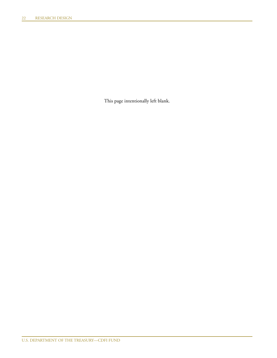This page intentionally left blank.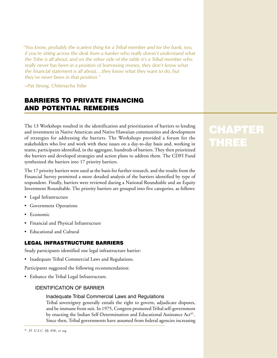*"You know, probably the scariest thing for a Tribal member and for the bank, too, if you're sitting across the desk from a banker who really doesn't understand what the Tribe is all about, and on the other side of the table it's a Tribal member who really never has been in a position of borrowing money, they don't know what the financial statement is all about, …they know what they want to do, but they've never been in that position."*

*—Pat Strong, Chitimacha Tribe*

# BARRIERS TO PRIVATE FINANCING AND POTENTIAL REMEDIES

The 13 Workshops resulted in the identification and prioritization of barriers to lending and investment in Native American and Native Hawaiian communities and development of strategies for addressing the barriers. The Workshops provided a forum for the stakeholders who live and work with these issues on a day-to-day basis and, working in teams, participants identified, in the aggregate, hundreds of barriers. They then prioritized the barriers and developed strategies and action plans to address them. The CDFI Fund synthesized the barriers into 17 priority barriers.

The 17 priority barriers were used as the basis for further research, and the results from the Financial Survey permitted a more detailed analysis of the barriers identified by type of respondent. Finally, barriers were reviewed during a National Roundtable and an Equity Investment Roundtable. The priority barriers are grouped into five categories, as follows:

- Legal Infrastructure
- Government Operations
- Economic
- Financial and Physical Infrastructure
- Educational and Cultural

#### LEGAL INFRASTRUCTURE BARRIERS

Study participants identified one legal infrastructure barrier:

• Inadequate Tribal Commercial Laws and Regulations.

Participants suggested the following recommendation:

• Enhance the Tribal Legal Infrastructure.

#### IDENTIFICATION OF BARRIER

#### Inadequate Tribal Commercial Laws and Regulations

Tribal sovereignty generally entails the right to govern, adjudicate disputes, and be immune from suit. In 1975, Congress promoted Tribal self-government by enacting the Indian Self-Determination and Educational Assistance Act<sup>43</sup>. Since then, Tribal governments have assumed from federal agencies increasing

# **CHAPTER** THREE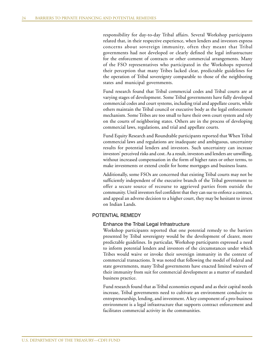responsibility for day-to-day Tribal affairs. Several Workshop participants related that, in their respective experience, when lenders and investors express concerns about sovereign immunity, often they meant that Tribal governments had not developed or clearly defined the legal infrastructure for the enforcement of contracts or other commercial arrangements. Many of the FSO representatives who participated in the Workshops reported their perception that many Tribes lacked clear, predictable guidelines for the operation of Tribal sovereignty comparable to those of the neighboring states and municipal governments.

Fund research found that Tribal commercial codes and Tribal courts are at varying stages of development. Some Tribal governments have fully developed commercial codes and court systems, including trial and appellate courts, while others maintain the Tribal council or executive body as the legal enforcement mechanism. Some Tribes are too small to have their own court system and rely on the courts of neighboring states. Others are in the process of developing commercial laws, regulations, and trial and appellate courts.

Fund Equity Research and Roundtable participants reported that When Tribal commercial laws and regulations are inadequate and ambiguous, uncertainty results for potential lenders and investors. Such uncertainty can increase investors' perceived risks and cost. As a result, investors and lenders are unwilling, without increased compensation in the form of higher rates or other terms, to make investments or extend credit for home mortgages and business loans.

Additionally, some FSOs are concerned that existing Tribal courts may not be sufficiently independent of the executive branch of the Tribal government to offer a secure source of recourse to aggrieved parties from outside the community. Until investors feel confident that they can sue to enforce a contract, and appeal an adverse decision to a higher court, they may be hesitant to invest on Indian Lands.

#### POTENTIAL REMEDY

#### Enhance the Tribal Legal Infrastructure

Workshop participants reported that one potential remedy to the barriers presented by Tribal sovereignty would be the development of clearer, more predictable guidelines. In particular, Workshop participants expressed a need to inform potential lenders and investors of the circumstances under which Tribes would waive or invoke their sovereign immunity in the context of commercial transactions. It was noted that following the model of federal and state governments, many Tribal governments have enacted limited waivers of their immunity from suit for commercial development as a matter of standard business practice.

Fund research found that as Tribal economies expand and as their capital needs increase, Tribal governments need to cultivate an environment conducive to entrepreneurship, lending, and investment. A key component of a pro-business environment is a legal infrastructure that supports contract enforcement and facilitates commercial activity in the communities.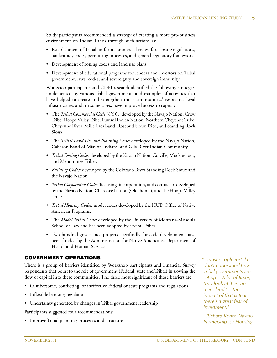Study participants recommended a strategy of creating a more pro-business environment on Indian Lands through such actions as:

- Establishment of Tribal uniform commercial codes, foreclosure regulations, bankruptcy codes, permitting processes, and general regulatory frameworks
- Development of zoning codes and land use plans
- Development of educational programs for lenders and investors on Tribal government, laws, codes, and sovereignty and sovereign immunity

Workshop participants and CDFI research identified the following strategies implemented by various Tribal governments and examples of activities that have helped to create and strengthen those communities' respective legal infrastructures and, in some cases, have improved access to capital:

- The *Tribal Commercial Code (UCC)*: developed by the Navajo Nation, Crow Tribe, Hoopa Valley Tribe, Lummi Indian Nation, Northern Cheyenne Tribe, Cheyenne River, Mille Lacs Band, Rosebud Sioux Tribe, and Standing Rock Sioux.
- The *Tribal Land Use and Planning Code*: developed by the Navajo Nation, Cabazon Band of Mission Indians, and Gila River Indian Community.
- *Tribal Zoning Codes:* developed by the Navajo Nation, Colville, Muckleshoot, and Menominee Tribes.
- *Building Codes:* developed by the Colorado River Standing Rock Sioux and the Navajo Nation.
- *Tribal Corporation Codes (*licensing, incorporation, and contracts)*:* developed by the Navajo Nation, Cherokee Nation (Oklahoma), and the Hoopa Valley Tribe.
- *Tribal Housing Codes:* model codes developed by the HUD Office of Native American Programs.
- The *Model Tribal Code:* developed by the University of Montana-Missoula School of Law and has been adopted by several Tribes.
- Two hundred governance projects specifically for code development have been funded by the Administration for Native Americans, Department of Health and Human Services.

#### GOVERNMENT OPERATIONS

There is a group of barriers identified by Workshop participants and Financial Survey respondents that point to the role of government (Federal, state and Tribal) in slowing the flow of capital into these communities. The three most significant of those barriers are:

- Cumbersome, conflicting, or ineffective Federal or state programs and regulations
- Inflexible banking regulations
- Uncertainty generated by changes in Tribal government leadership

Participants suggested four recommendations:

• Improve Tribal planning processes and structure

*"…most people just flat don't understand how Tribal governments are set up. …A lot of times, they look at it as 'nomans-land.' …The impact of that is that there's a great fear of investment."*

*—Richard Kontz, Navajo Partnership for Housing*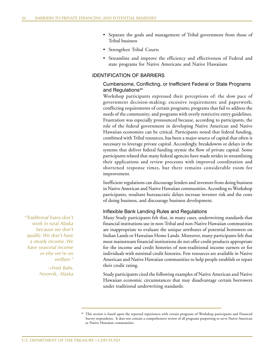- Separate the goals and management of Tribal government from those of Tribal business
- Strengthen Tribal Courts
- Streamline and improve the efficiency and effectiveness of Federal and state programs for Native Americans and Native Hawaiians

#### IDENTIFICATION OF BARRIERS

#### Cumbersome, Conflicting, or Inefficient Federal or State Programs and Regulations<sup>44</sup>

Workshop participants expressed their perceptions of: the slow pace of government decision-making; excessive requirements and paperwork; conflicting requirements of certain programs; programs that fail to address the needs of the community; and programs with overly restrictive entry guidelines. Frustration was especially pronounced because, according to participants, the role of the federal government in developing Native American and Native Hawaiian economies can be critical. Participants noted that federal funding, combined with Tribal resources, has been a major source of capital that often is necessary to leverage private capital. Accordingly, breakdowns or delays in the systems that deliver federal funding stymie the flow of private capital. Some participants related that many federal agencies have made strides in streamlining their applications and review processes with improved coordination and shortened response times, but there remains considerable room for improvement.

Inefficient regulations can discourage lenders and investors from doing business in Native American and Native Hawaiian communities. According to Workshop participants, resultant bureaucratic delays increase investor risk and the costs of doing business, and discourage business development.

#### Inflexible Bank Lending Rules and Regulations

Many Study participants felt that, in many cases, underwriting standards that financial institutions use in non-Tribal and non-Native Hawaiian communities are inappropriate to evaluate the unique attributes of potential borrowers on Indian Lands or Hawaiian Home Lands. Moreover, many participants felt that most mainstream financial institutions do not offer credit products appropriate for the income and credit histories of non-traditional income earners or for individuals with minimal credit histories. Few resources are available in Native American and Native Hawaiian communities to help people establish or repair their credit rating.

Study participants cited the following examples of Native American and Native Hawaiian economic circumstances that may disadvantage certain borrowers under traditional underwriting standards:

*"Traditional loans don't work in rural Alaska because we don't qualify. We don't have a steady income. We have seasonal income or else we're on welfare."*

> *—Fred Bahr, Noorvik, Alaska*

This section is based upon the reported experiences with certain programs of Workshop participants and Financial Survey respondents. It does not contain a comprehensive review of all programs purporting to serve Native American or Native Hawaiian communities.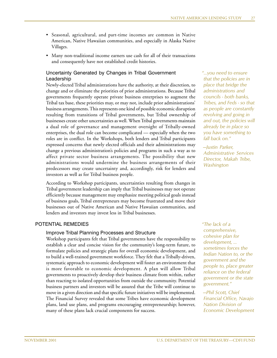- Seasonal, agricultural, and part-time incomes are common in Native American, Native Hawaiian communities, and especially in Alaska Native Villages.
- Many non-traditional income earners use cash for all of their transactions and consequently have not established credit histories.

#### Uncertainty Generated by Changes in Tribal Government Leadership

Newly-elected Tribal administrations have the authority, at their discretion, to change and or eliminate the priorities of prior administrations. Because Tribal governments frequently operate private business enterprises to augment the Tribal tax base, these priorities may, or may not, include prior administrations' business arrangements. This represents one kind of possible economic disruption resulting from transitions of Tribal governments, but Tribal ownership of businesses create other uncertainties as well. When Tribal governments maintain a dual role of governance and management oversight of Tribally-owned enterprises, the dual role can become complicated — especially when the two roles are in conflict. In the Workshops, both lenders and Tribal participants expressed concerns that newly elected officials and their administrations may change a previous administration's policies and programs in such a way as to affect private sector business arrangements. The possibility that new administrations would undermine the business arrangements of their predecessors may create uncertainty and, accordingly, risk for lenders and investors as well as for Tribal business people.

According to Workshop participants, uncertainties resulting from changes in Tribal government leadership can imply that Tribal businesses may not operate efficiently because management may emphasize meeting political goals instead of business goals, Tribal entrepreneurs may become frustrated and move their businesses out of Native American and Native Hawaiian communities, and lenders and investors may invest less in Tribal businesses.

#### POTENTIAL REMEDIES

#### Improve Tribal Planning Processes and Structure

Workshop participants felt that Tribal governments have the responsibility to establish a clear and concise vision for the community's long-term future, to formulate policies and strategic plans for overall economic development, and to build a well-trained government workforce. They felt that a Tribally-driven, systematic approach to economic development will foster an environment that is more favorable to economic development. A plan will allow Tribal governments to proactively develop their business climate from within, rather than reacting to isolated opportunities from outside the community. Potential business partners and investors will be assured that the Tribe will continue to move in a given direction and that specific future initiatives will be implemented. The Financial Survey revealed that some Tribes have economic development plans, land use plans, and programs encouraging entrepreneurship; however, many of these plans lack crucial components for success.

*"…you need to ensure that the policies are in place that bridge the administrations and councils - both banks, Tribes, and Feds - so that as people are constantly revolving and going in and out, the policies will already be in place so you have something to fall back on."*

*—Justin Parker, Administrative Services Director, Makah Tribe, Washington*

*"The lack of a comprehensive, cohesive plan for development, … sometimes forces the Indian Nation to, or the government and the people to, place greater reliance on the federal government or the state government."*

*—Phil Scott, Chief Financial Office, Navajo Nation Division of Economic Development*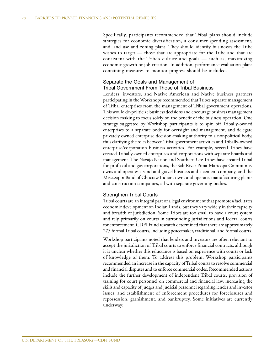Specifically, participants recommended that Tribal plans should include strategies for economic diversification, a consumer spending assessment, and land use and zoning plans. They should identify businesses the Tribe wishes to target — those that are appropriate for the Tribe and that are consistent with the Tribe's culture and goals — such as, maximizing economic growth or job creation. In addition, performance evaluation plans containing measures to monitor progress should be included.

#### Separate the Goals and Management of Tribal Government From Those of Tribal Business

Lenders, investors, and Native American and Native business partners participating in the Workshops recommended that Tribes separate management of Tribal enterprises from the management of Tribal government operations. This would de-politicize business decisions and encourage business management decision making to focus solely on the benefit of the business operation. One strategy suggested by Workshop participants is to spin off Tribally-owned enterprises to a separate body for oversight and management, and delegate privately owned enterprise decision-making authority to a nonpolitical body, thus clarifying the roles between Tribal government activities and Tribally-owned enterprise/corporation business activities. For example, several Tribes have created Tribally-owned enterprises and corporations with separate boards and management. The Navajo Nation and Southern Ute Tribes have created Tribal for-profit oil and gas corporations, the Salt River Pima-Maricopa Community owns and operates a sand and gravel business and a cement company, and the Mississippi Band of Choctaw Indians owns and operates manufacturing plants and construction companies, all with separate governing bodies.

#### Strengthen Tribal Courts

Tribal courts are an integral part of a legal environment that promotes/facilitates economic development on Indian Lands, but they vary widely in their capacity and breadth of jurisdiction. Some Tribes are too small to have a court system and rely primarily on courts in surrounding jurisdictions and federal courts for enforcement. CDFI Fund research determined that there are approximately 275 formal Tribal courts, including peacemaker, traditional, and formal courts.

Workshop participants noted that lenders and investors are often reluctant to accept the jurisdiction of Tribal courts to enforce financial contracts, although it is unclear whether this reluctance is based on experience with courts or lack of knowledge of them. To address this problem, Workshop participants recommended an increase in the capacity of Tribal courts to resolve commercial and financial disputes and to enforce commercial codes. Recommended actions include the further development of independent Tribal courts, provision of training for court personnel on commercial and financial law, increasing the skills and capacity of judges and judicial personnel regarding lender and investor issues, and establishment of enforcement procedures for foreclosures and repossession, garnishment, and bankruptcy. Some initiatives are currently underway: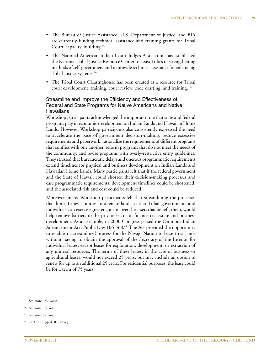- The Bureau of Justice Assistance, U.S. Department of Justice, and BIA are currently funding technical assistance and training grants for Tribal Court capacity building.45
- The National American Indian Court Judges Association has established the National Tribal Justice Resource Center to assist Tribes in strengthening methods of self-government and to provide technical assistance for enhancing Tribal justice systems.<sup>46</sup>
- The Tribal Court Clearinghouse has been created as a resource for Tribal court development, training, court review, code drafting, and training. <sup>47</sup>

# Streamline and Improve the Efficiency and Effectiveness of Federal and State Programs for Native Americans and Native **Hawaiians**

Workshop participants acknowledged the important role that state and federal programs play in economic development on Indian Lands and Hawaiian Home Lands. However, Workshop participants also consistently expressed the need to accelerate the pace of government decision-making, reduce excessive requirements and paperwork, rationalize the requirements of different programs that conflict with one another, reform programs that do not meet the needs of the community, and revise programs with overly-restrictive entry guidelines. They stressed that bureaucratic delays and onerous programmatic requirements extend timelines for physical and business development on Indian Lands and Hawaiian Home Lands. Many participants felt that if the federal government and the State of Hawaii could shorten their decision-making processes and ease programmatic requirements, development timelines could be shortened, and the associated risk and cost could be reduced.

Moreover, many Workshop participants felt that streamlining the processes that limit Tribes' abilities to alienate land, so that Tribal governments and individuals can exercise greater control over the assets that benefit them, would help remove barriers to the private sector to finance real estate and business development. As an example, in 2000 Congress passed the Omnibus Indian Advancement Act, Public Law 106-568.<sup>48</sup> The Act provided the opportunity to establish a streamlined process for the Navajo Nation to lease trust lands without having to obtain the approval of the Secretary of the Interior for individual leases, except leases for exploration, development, or extraction of any mineral resources. The terms of these leases, in the case of business or agricultural leases, would not exceed 25 years, but may include an option to renew for up to an additional 25 years. For residential purposes, the lease could be for a term of 75 years.

- <sup>47</sup> *See*, note 17, *supra*.
- <sup>48</sup> 25 *U.S.C.* §§ 4101, *et seq.*

<sup>45</sup> *See,* note 15, *supra*.

<sup>46</sup> *See*, note 16, *supra*.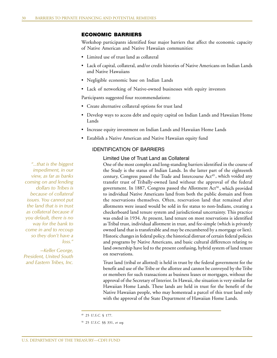#### ECONOMIC BARRIERS

Workshop participants identified four major barriers that affect the economic capacity of Native American and Native Hawaiian communities:

- Limited use of trust land as collateral
- Lack of capital, collateral, and/or credit histories of Native Americans on Indian Lands and Native Hawaiians
- Negligible economic base on Indian Lands
- Lack of networking of Native-owned businesses with equity investors

Participants suggested four recommendations:

- Create alternative collateral options for trust land
- Develop ways to access debt and equity capital on Indian Lands and Hawaiian Home Lands
- Increase equity investment on Indian Lands and Hawaiian Home Lands
- Establish a Native American and Native Hawaiian equity fund

# IDENTIFICATION OF BARRIERS

#### Limited Use of Trust Land as Collateral

One of the most complex and long-standing barriers identified in the course of the Study is the status of Indian Lands. In the latter part of the eighteenth century, Congress passed the Trade and Intercourse Act<sup>49</sup>, which voided any transfer trust of Tribally-owned land without the approval of the federal government. In 1887, Congress passed the Allotment Act<sup>50</sup>, which provided to individual Native Americans land from both the public domain and from the reservations themselves. Often, reservation land that remained after allotments were issued would be sold in fee status to non-Indians, creating a checkerboard land tenure system and jurisdictional uncertainty. This practice was ended in 1934. At present, land tenure on most reservations is identified as Tribal trust, individual allotment in trust, and fee-simple (which is privately owned land that is transferable and may be encumbered by a mortgage or lien). Historic changes in federal policy, the historical distrust of certain federal policies and programs by Native Americans, and basic cultural differences relating to land ownership have led to the present confusing, hybrid system of land tenure on reservations.

Trust land (tribal or allotted) is held in trust by the federal government for the benefit and use of the Tribe or the allottee and cannot be conveyed by the Tribe or members for such transactions as business leases or mortgages, without the approval of the Secretary of Interior. In Hawaii, the situation is very similar for Hawaiian Home Lands. These lands are held in trust for the benefit of the Native Hawaiian people, who may homestead a parcel of this trust land only with the approval of the State Department of Hawaiian Home Lands.

*"…that is the biggest impediment, in our view, as far as banks coming on and lending dollars to Tribes is because of collateral issues. You cannot put the land that is in trust as collateral because if you default, there is no way for the bank to come in and to recoup so they don't have a loss."*

*—Keller George, President, United South and Eastern Tribes, Inc.*

<sup>49</sup> 25 *U.S.C.* § 177.

<sup>50</sup> 25 *U.S.C.* §§ 331, *et seq.*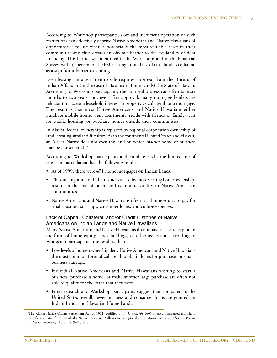According to Workshop participants, slow and inefficient operation of such restrictions can effectively deprive Native Americans and Native Hawaiians of opportunities to use what is potentially the most valuable asset in their communities and thus creates an obvious barrier to the availability of debt financing. This barrier was identified in the Workshops and in the Financial Survey, with 55 percent of the FSOs citing limited use of trust land as collateral as a significant barrier to lending.

Even leasing, an alternative to sale requires approval from the Bureau of Indian Affairs or (in the case of Hawaiian Home Lands) the State of Hawaii. According to Workshop participants, the approval process can often take six months to two years and, even after approval, many mortgage lenders are reluctant to accept a leasehold interest in property as collateral for a mortgage. The result is that most Native Americans and Native Hawaiians either purchase mobile homes, rent apartments, reside with friends or family, wait for public housing, or purchase homes outside their communities.

In Alaska, federal ownership is replaced by regional corporation ownership of land, creating similar difficulties. As in the continental United States and Hawaii, an Alaska Native does not own the land on which his/her home or business may be constructed.<sup>51</sup>

According to Workshop participants and Fund research, the limited use of trust land as collateral has the following results:

- As of 1999, there were 471 home mortgages on Indian Lands.
- The out-migration of Indian Lands caused by those seeking home ownership, results in the loss of talent and economic vitality in Native American communities.
- Native Americans and Native Hawaiians often lack home equity to pay for small-business start-ups, consumer loans, and college expenses.

# Lack of Capital, Collateral, and/or Credit Histories of Native Americans on Indian Lands and Native Hawaiians

Many Native Americans and Native Hawaiians do not have access to capital in the form of home equity, stock holdings, or other assets and, according to Workshop participants, the result is that:

- Low levels of home-ownership deny Native Americans and Native Hawaiians the most common form of collateral to obtain loans for purchases or smallbusiness startups.
- Individual Native Americans and Native Hawaiians wishing to start a business, purchase a home, or make another large purchase are often not able to qualify for the loans that they need.
- Fund research and Workshop participants suggest that compared to the United States overall, fewer business and consumer loans are granted on Indian Lands and Hawaiian Home Lands.

<sup>51</sup> The Alaska Native Claims Settlement Act of 1971, codified at 43 U.S.C. §§ 1601 *et seq.*, transferred trust land beneficiary status from the Alaska Native Tribes and Villages to 12 regional corporations. See also, *Alaska v. Venetie Tribal Government*, 118 S. Ct. 948 (1998).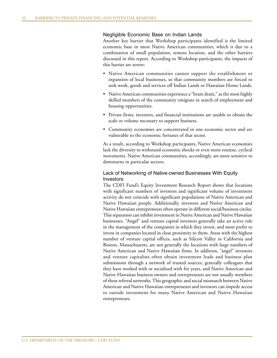#### Negligible Economic Base on Indian Lands

Another key barrier that Workshop participants identified is the limited economic base in most Native American communities, which is due to a combination of small population, remote location, and the other barriers discussed in this report. According to Workshop participants, the impacts of this barrier are severe:

- Native American communities cannot support the establishment or expansion of local businesses, so that community members are forced to seek work, goods and services off Indian Lands or Hawaiian Home Lands.
- Native American communities experience a "brain drain," as the most highly skilled members of the community emigrate in search of employment and housing opportunities.
- Private firms, investors, and financial institutions are unable to obtain the scale or volume necessary to support business.
- Community economies are concentrated in one economic sector and are vulnerable to the economic fortunes of that sector.

As a result, according to Workshop participants, Native American economies lack the diversity to withstand economic shocks or even more routine, cyclical movements. Native American communities, accordingly, are more sensitive to downturns in particular sectors.

#### Lack of Networking of Native-owned Businesses With Equity Investors

The CDFI Fund's Equity Investment Research Report shows that locations with significant numbers of investors and significant volume of investment activity do not coincide with significant populations of Native American and Native Hawaiian people. Additionally, investors and Native American and Native Hawaiian entrepreneurs often operate in different social/business circles. This separation can inhibit investment in Native American and Native Hawaiian businesses. "Angel" and venture capital investors generally take an active role in the management of the companies in which they invest, and most prefer to invest in companies located in close proximity to them. Areas with the highest number of venture capital offices, such as Silicon Valley in California and Boston, Massachusetts, are not generally the locations with large numbers of Native American and Native Hawaiian firms. In addition, "angel" investors and venture capitalists often obtain investment leads and business plan submissions through a network of trusted sources, generally colleagues that they have worked with or socialized with for years, and Native American and Native Hawaiian business owners and entrepreneurs are not usually members of these referral networks. This geographic and social mismatch between Native American and Native Hawaiian entrepreneurs and investors can impede access to outside investment for many Native American and Native Hawaiian entrepreneurs.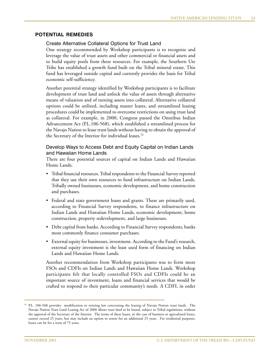#### **POTENTIAL REMEDIES**

#### Create Alternative Collateral Options for Trust Land

One strategy recommended by Workshop participants is to recognize and leverage the value of trust assets and other commercial or financial assets and to build equity pools from these resources. For example, the Southern Ute Tribe has established a growth fund built on the Tribal mineral estate. This fund has leveraged outside capital and currently provides the basis for Tribal economic self-sufficiency.

Another potential strategy identified by Workshop participants is to facilitate development of trust land and unlock the value of assets through alternative means of valuation and of turning assets into collateral. Alternative collateral options could be utilized, including master leases, and streamlined leasing procedures could be implemented to overcome restrictions on using trust land as collateral. For example, in 2000, Congress passed the Omnibus Indian Advancement Act (P.L.106-568), which established a streamlined process for the Navajo Nation to lease trust lands without having to obtain the approval of the Secretary of the Interior for individual leases.<sup>52</sup>

#### Develop Ways to Access Debt and Equity Capital on Indian Lands and Hawaiian Home Lands

There are four potential sources of capital on Indian Lands and Hawaiian Home Lands:

- Tribal financial resources. Tribal respondents to the Financial Survey reported that they use their own resources to fund infrastructure on Indian Lands, Tribally owned businesses, economic development, and home construction and purchases.
- Federal and state government loans and grants. These are primarily used, according to Financial Survey respondents, to finance infrastructure on Indian Lands and Hawaiian Home Lands, economic development, home construction, property redevelopment, and large businesses.
- Debt capital from banks. According to Financial Survey respondents, banks most commonly finance consumer purchases.
- External equity for businesses, investment. According to the Fund's research, external equity investment is the least used form of financing on Indian Lands and Hawaiian Home Lands.

Another recommendation from Workshop participants was to form more FSOs and CDFIs on Indian Lands and Hawaiian Home Lands. Workshop participants felt that locally controlled FSOs and CDFIs could be an important source of investment, loans and financial services that would be crafted to respond to their particular community's needs. A CDFI, in order

<sup>52</sup> P.L. 106-568 provides modification to existing law concerning the leasing of Navajo Nation trust lands. The Navajo Nation Trust Land Leasing Act of 2000 allows trust land to be leased, subject to Tribal regulations, without the approval of the Secretary of the Interior. The terms of these leases, in the case of business or agricultural leases, cannot exceed 25 years, but may include an option to renew for an additional 25 years. For residential purposes, leases can be for a term of 75 years.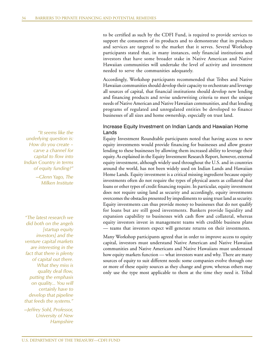to be certified as such by the CDFI Fund, is required to provide services to support the consumers of its products and to demonstrate that its products and services are targeted to the market that it serves. Several Workshop participants stated that, in many instances, only financial institutions and investors that have some broader stake in Native American and Native Hawaiian communities will undertake the level of activity and investment needed to serve the communities adequately.

Accordingly, Workshop participants recommended that Tribes and Native Hawaiian communities should develop their capacity to orchestrate and leverage all sources of capital, that financial institutions should develop new lending and financing products and revise underwriting criteria to meet the unique needs of Native American and Native Hawaiian communities, and that lending programs of regulated and unregulated entities be developed to finance businesses of all sizes and home ownership, especially on trust land.

# Increase Equity Investment on Indian Lands and Hawaiian Home Lands

Equity Investment Roundtable participants noted that having access to new equity investments would provide financing for businesses and allow greater lending to these businesses by allowing them increased ability to leverage their equity. As explained in the Equity Investment Research Report, however, external equity investment, although widely used throughout the U.S. and in countries around the world, has not been widely used on Indian Lands and Hawaiian Home Lands. Equity investment is a critical missing ingredient because equity investments often do not require the types of physical assets as collateral that loans or other types of credit financing require. In particular, equity investment does not require using land as security and accordingly, equity investments overcomes the obstacles presented by impediments to using trust land as security. Equity investments can thus provide money to businesses that do not qualify for loans but are still good investments. Bankers provide liquidity and expansion capability to businesses with cash flow and collateral, whereas equity investors invest in management teams with credible business plans — teams that investors expect will generate returns on their investments.

Many Workshop participants agreed that in order to improve access to equity capital, investors must understand Native American and Native Hawaiian communities and Native Americans and Native Hawaiians must understand how equity markets function — what investors want and why. There are many sources of equity to suit different needs: some companies evolve through one or more of these equity sources as they change and grow, whereas others may only use the type most applicable to them at the time they need it. Tribal

*"It seems like the underlying question is: How do you create – carve a channel for capital to flow into Indian Country in terms of equity funding?"*

> *—Glenn Yago, The Milken Institute*

*"The latest research we did both on the angels [startup equity investors] and the venture capital markets are interesting in the fact that there is plenty of capital out there. What they miss is quality deal flow, putting the emphasis on quality… You will certainly have to develop that pipeline that feeds the systems."*

*—Jeffrey Sohl, Professor, University of New Hampshire*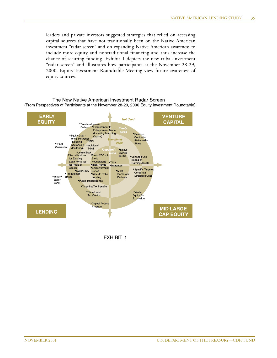leaders and private investors suggested strategies that relied on accessing capital sources that have not traditionally been on the Native American investment "radar screen" and on expanding Native American awareness to include more equity and nontraditional financing and thus increase the chance of securing funding. Exhibit 1 depicts the new tribal-investment "radar screen" and illustrates how participants at the November 28-29, 2000, Equity Investment Roundtable Meeting view future awareness of equity sources.

The New Native American Investment Radar Screen (From Perspectives of Participants at the November 28-29, 2000 Equity Investment Roundtable)



EXHIBIT 1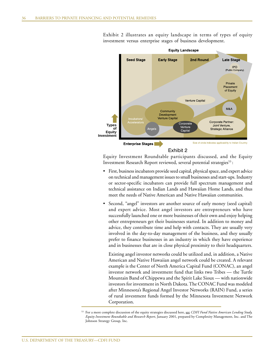

Exhibit 2 illustrates an equity landscape in terms of types of equity investment versus enterprise stages of business development.

Equity Investment Roundtable participants discussed, and the Equity Investment Research Report reviewed, several potential strategies<sup>53</sup>:

- First, business incubators provide seed capital, physical space, and expert advice on technical and management issues to small businesses and start-ups. Industry or sector-specific incubators can provide full spectrum management and technical assistance on Indian Lands and Hawaiian Home Lands, and thus meet the needs of Native American and Native Hawaiian communities.
- Second, "angel" investors are another source of early money (seed capital) and expert advice. Most angel investors are entrepreneurs who have successfully launched one or more businesses of their own and enjoy helping other entrepreneurs get their businesses started. In addition to money and advice, they contribute time and help with contacts. They are usually very involved in the day-to-day management of the business, and they usually prefer to finance businesses in an industry in which they have experience and in businesses that are in close physical proximity to their headquarters.

Existing angel investor networks could be utilized and, in addition, a Native American and Native Hawaiian angel network could be created. A relevant example is the Center of North America Capital Fund (CONAC), an angel investor network and investment fund that links two Tribes — the Turtle Mountain Band of Chippewa and the Spirit Lake Sioux — with nationwide investors for investment in North Dakota. The CONAC Fund was modeled after Minnesota's Regional Angel Investor Networks (RAIN) Fund, a series of rural investment funds formed by the Minnesota Investment Network Corporation.

<sup>53</sup> For a more complete discussion of the equity strategies discussed here, see *CDFI Fund Native American Lending Study, Equity Investment Roundtable and Research Report*, January 2001, prepared by Complexity Management, Inc. and The Johnson Strategy Group, Inc.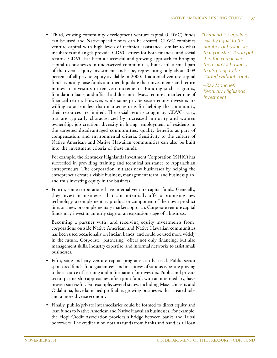• Third, existing community development venture capital (CDVC) funds can be used and Native-specific ones can be created. CDVC combines venture capital with high levels of technical assistance, similar to what incubators and angels provide. CDVC strives for both financial and social returns. CDVC has been a successful and growing approach to bringing capital to businesses in underserved communities, but is still a small part of the overall equity investment landscape, representing only about 0.03 percent of all private equity available in 2000. Traditional venture capital funds typically raise funds and then liquidate their investments and return money to investors in ten-year increments. Funding such as grants, foundation loans, and official aid does not always require a market rate of financial return. However, while some private sector equity investors are willing to accept less-than-market returns for helping the community, their resources are limited. The social returns sought by CDVCs vary, but are typically characterized by increased minority and women ownership, job creation, diversity in hiring, employment of residents in the targeted disadvantaged communities, quality benefits as part of compensation, and environmental criteria. Sensitivity to the culture of Native American and Native Hawaiian communities can also be built into the investment criteria of these funds.

For example, the Kentucky Highlands Investment Corporation (KHIC) has succeeded in providing training and technical assistance to Appalachian entrepreneurs. The corporation initiates new businesses by helping the entrepreneur create a viable business, management team, and business plan, and thus investing equity in the business.

• Fourth, some corporations have internal venture capital funds. Generally, they invest in businesses that can potentially offer a promising new technology, a complementary product or component of their own product line, or a new or complementary market approach. Corporate venture capital funds may invest in an early stage or an expansion stage of a business.

Becoming a partner with, and receiving equity investments from, corporations outside Native American and Native Hawaiian communities has been used occasionally on Indian Lands, and could be used more widely in the future. Corporate "partnering" offers not only financing, but also management skills, industry expertise, and informal networks to assist small businesses.

- Fifth, state and city venture capital programs can be used. Public sector sponsored funds, fund guarantees, and incentives of various types are proving to be a source of learning and information for investors. Public and private sector partnership approaches, often joint funds with an intermediary, have proven successful. For example, several states, including Massachusetts and Oklahoma, have launched profitable, growing businesses that created jobs and a more diverse economy.
- Finally, public/private intermediaries could be formed to direct equity and loan funds to Native American and Native Hawaiian businesses. For example, the Hopi Credit Association provides a bridge between banks and Tribal borrowers. The credit union obtains funds from banks and handles all loan

*"Demand for equity is exactly equal to the number of businesses that you start. If you put it in the vernacular, there ain't a business that's going to be started without equity."*

*—Ray Moncrief, Kentucky Highlands Investment*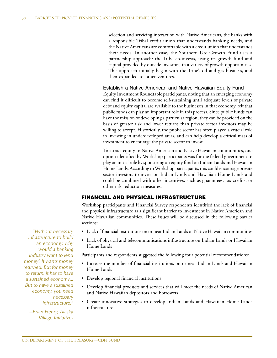selection and servicing interaction with Native Americans, the banks with a responsible Tribal credit union that understands banking needs, and the Native Americans are comfortable with a credit union that understands their needs. In another case, the Southern Ute Growth Fund uses a partnership approach: the Tribe co-invests, using its growth fund and capital provided by outside investors, in a variety of growth opportunities. This approach initially began with the Tribe's oil and gas business, and then expanded to other ventures.

#### Establish a Native American and Native Hawaiian Equity Fund

Equity Investment Roundtable participants, noting that an emerging economy can find it difficult to become self-sustaining until adequate levels of private debt and equity capital are available to the businesses in that economy, felt that public funds can play an important role in this process. Since public funds can have the mission of developing a particular region, they can be provided on the basis of greater risk and lower returns than private sector investors may be willing to accept. Historically, the public sector has often played a crucial role in investing in underdeveloped areas, and can help develop a critical mass of investment to encourage the private sector to invest.

To attract equity to Native American and Native Hawaiian communities, one option identified by Workshop participants was for the federal government to play an initial role by sponsoring an equity fund on Indian Lands and Hawaiian Home Lands. According to Workshop participants, this could encourage private sector investors to invest on Indian Lands and Hawaiian Home Lands and could be combined with other incentives, such as guarantees, tax credits, or other risk-reduction measures.

# FINANCIAL AND PHYSICAL INFRASTRUCTURE

Workshop participants and Financial Survey respondents identified the lack of financial and physical infrastructure as a significant barrier to investment in Native American and Native Hawaiian communities. These issues will be discussed in the following barrier sections:

- Lack of financial institutions on or near Indian Lands or Native Hawaiian communities
- Lack of physical and telecommunications infrastructure on Indian Lands or Hawaiian Home Lands

Participants and respondents suggested the following four potential recommendations:

- Increase the number of financial institutions on or near Indian Lands and Hawaiian Home Lands
- Develop regional financial institutions
- Develop financial products and services that will meet the needs of Native American and Native Hawaiian depositors and borrowers
- Create innovative strategies to develop Indian Lands and Hawaiian Home Lands infrastructure

*"Without necessary infrastructure to build an economy, why would a banking industry want to lend money? It wants money returned. But for money to return, it has to have a sustained economy… But to have a sustained economy, you need necessary infrastructure."*

*—Brian Henry, Alaska Village Initiatives*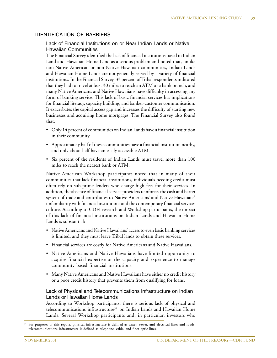# IDENTIFICATION OF BARRIERS

# Lack of Financial Institutions on or Near Indian Lands or Native Hawaiian Communities

The Financial Survey identified the lack of financial institutions based in Indian Land and Hawaiian Home Land as a serious problem and noted that, unlike non-Native American or non-Native Hawaiian communities, Indian Lands and Hawaiian Home Lands are not generally served by a variety of financial institutions. In the Financial Survey, 33 percent of Tribal respondents indicated that they had to travel at least 30 miles to reach an ATM or a bank branch, and many Native Americans and Native Hawaiians have difficulty in accessing any form of banking service. This lack of basic financial services has implications for financial literacy, capacity building, and banker-customer communication. It exacerbates the capital access gap and increases the difficulty of starting new businesses and acquiring home mortgages. The Financial Survey also found that:

- Only 14 percent of communities on Indian Lands have a financial institution in their community.
- Approximately half of these communities have a financial institution nearby, and only about half have an easily accessible ATM.
- Six percent of the residents of Indian Lands must travel more than 100 miles to reach the nearest bank or ATM.

Native American Workshop participants noted that in many of their communities that lack financial institutions, individuals needing credit must often rely on sub-prime lenders who charge high fees for their services. In addition, the absence of financial service providers reinforces the cash and barter system of trade and contributes to Native Americans' and Native Hawaiians' unfamiliarity with financial institutions and the contemporary financial services culture. According to CDFI research and Workshop participants, the impact of this lack of financial institutions on Indian Lands and Hawaiian Home Lands is substantial:

- Native Americans and Native Hawaiians' access to even basic banking services is limited, and they must leave Tribal lands to obtain these services.
- Financial services are costly for Native Americans and Native Hawaiians.
- Native Americans and Native Hawaiians have limited opportunity to acquire financial expertise or the capacity and experience to manage community-based financial institutions.
- Many Native Americans and Native Hawaiians have either no credit history or a poor credit history that prevents them from qualifying for loans.

# Lack of Physical and Telecommunications Infrastructure on Indian Lands or Hawaiian Home Lands

According to Workshop participants, there is serious lack of physical and telecommunications infrastructure<sup>54</sup> on Indian Lands and Hawaiian Home Lands. Several Workshop participants and, in particular, investors who

<sup>54</sup> For purposes of this report, physical infrastructure is defined as water, sewer, and electrical lines and roads; telecommunications infrastructure is defined as telephone, cable, and fiber optic lines.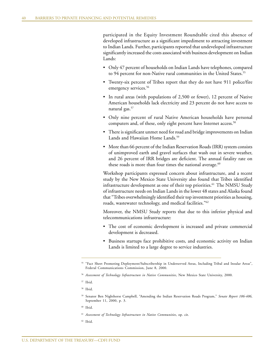participated in the Equity Investment Roundtable cited this absence of developed infrastructure as a significant impediment to attracting investment to Indian Lands. Further, participants reported that undeveloped infrastructure significantly increased the costs associated with business development on Indian Lands:

- Only 47 percent of households on Indian Lands have telephones, compared to 94 percent for non-Native rural communities in the United States.<sup>55</sup>
- Twenty-six percent of Tribes report that they do not have 911 police/fire emergency services.<sup>56</sup>
- In rural areas (with populations of 2,500 or fewer), 12 percent of Native American households lack electricity and 23 percent do not have access to natural gas.57
- Only nine percent of rural Native American households have personal computers and, of these, only eight percent have Internet access.<sup>58</sup>
- There is significant unmet need for road and bridge improvements on Indian Lands and Hawaiian Home Lands.<sup>59</sup>
- More than 66 percent of the Indian Reservation Roads (IRR) system consists of unimproved earth and gravel surfaces that wash out in severe weather, and 26 percent of IRR bridges are deficient. The annual fatality rate on these roads is more than four times the national average. $60$

Workshop participants expressed concern about infrastructure, and a recent study by the New Mexico State University also found that Tribes identified infrastructure development as one of their top priorities.<sup>61</sup> The NMSU Study of infrastructure needs on Indian Lands in the lower 48 states and Alaska found that "Tribes overwhelmingly identified their top investment priorities as housing, roads, wastewater technology, and medical facilities."62

Moreover, the NMSU Study reports that due to this inferior physical and telecommunications infrastructure:

- The cost of economic development is increased and private commercial development is decreased.
- Business startups face prohibitive costs, and economic activity on Indian Lands is limited to a large degree to service industries.

 $62$  Ibid.

<sup>55</sup> "Fact Sheet Promoting Deployment/Subscribership in Underserved Areas, Including Tribal and Insular Areas", Federal Communications Commission, June 8, 2000.

<sup>56</sup> *Assessment of Technology Infrastructure in Native Communities*, New Mexico State University, 2000.

<sup>57</sup> Ibid.

<sup>58</sup> Ibid.

<sup>59</sup> Senator Ben Nighthorse Campbell, "Amending the Indian Reservation Roads Program," *Senate Report 106-406*, September 11, 2000, p. 3.

 $60$  Ibid.

<sup>61</sup> *Assessment of Technology Infrastructure in Native Communities*, op. cit.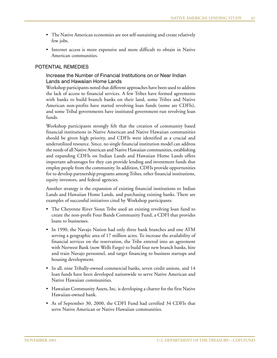- The Native American economies are not self-sustaining and create relatively few jobs.
- Internet access is more expensive and more difficult to obtain in Native American communities.

# POTENTIAL REMEDIES

#### Increase the Number of Financial Institutions on or Near Indian Lands and Hawaiian Home Lands

Workshop participants noted that different approaches have been used to address the lack of access to financial services. A few Tribes have formed agreements with banks to build branch banks on their land, some Tribes and Native American non-profits have started revolving loan funds (some are CDFIs), and some Tribal governments have instituted government-run revolving loan funds.

Workshop participants strongly felt that the creation of community based financial institutions in Native American and Native Hawaiian communities should be given high priority, and CDFIs were identified as a crucial and underutilized resource. Since, no single financial institution model can address the needs of all Native American and Native Hawaiian communities, establishing and expanding CDFIs on Indian Lands and Hawaiian Home Lands offers important advantages for they can provide lending and investment funds that employ people from the community. In addition, CDFIs provide opportunities for to develop partnership programs among Tribes, other financial institutions, equity investors, and federal agencies.

Another strategy is the expansion of existing financial institutions to Indian Lands and Hawaiian Home Lands, and purchasing existing banks. There are examples of successful initiatives cited by Workshop participants:

- The Cheyenne River Sioux Tribe used an existing revolving loan fund to create the non-profit Four Bands Community Fund, a CDFI that provides loans to businesses.
- In 1990, the Navajo Nation had only three bank branches and one ATM serving a geographic area of 17 million acres. To increase the availability of financial services on the reservation, the Tribe entered into an agreement with Norwest Bank (now Wells Fargo) to build four new branch banks, hire and train Navajo personnel, and target financing to business startups and housing development.
- In all, nine Tribally-owned commercial banks, seven credit unions, and 14 loan funds have been developed nationwide to serve Native American and Native Hawaiian communities.
- Hawaiian Community Assets, Inc. is developing a charter for the first Native Hawaiian-owned bank.
- As of September 30, 2000, the CDFI Fund had certified 34 CDFIs that serve Native American or Native Hawaiian communities.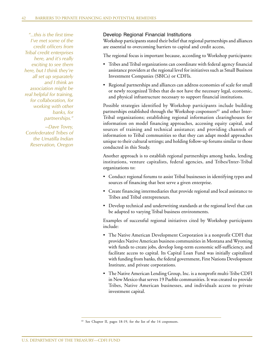*"…this is the first time I've met some of the credit officers from Tribal credit enterprises here, and it's really exciting to see them here, but I think they're all set up separately and I think an association might be real helpful for training, for collaboration, for working with other banks, for partnerships."*

*—Dave Tovey, Confederated Tribes of the Umatilla Indian Reservation, Oregon*

#### Develop Regional Financial Institutions

Workshop participants stated their belief that regional partnerships and alliances are essential to overcoming barriers to capital and credit access,

The regional focus is important because, according to Workshop participants:

- Tribes and Tribal organizations can coordinate with federal agency financial assistance providers at the regional level for initiatives such as Small Business Investment Companies (SBICs) or CDFIs.
- Regional partnerships and alliances can address economies of scale for small or newly recognized Tribes that do not have the necessary legal, economic, and physical infrastructure necessary to support financial institutions.

Possible strategies identified by Workshop participants include building partnerships established through the Workshop cosponsors<sup>63</sup> and other Inter-Tribal organizations; establishing regional information clearinghouses for information on model financing approaches, accessing equity capital, and sources of training and technical assistance; and providing channels of information to Tribal communities so that they can adapt model approaches unique to their cultural settings; and holding follow-up forums similar to those conducted in this Study.

Another approach is to establish regional partnerships among banks, lending institutions, venture capitalists, federal agencies, and Tribes/Inter-Tribal organizations to:

- Conduct regional forums to assist Tribal businesses in identifying types and sources of financing that best serve a given enterprise.
- Create financing intermediaries that provide regional and local assistance to Tribes and Tribal entrepreneurs.
- Develop technical and underwriting standards at the regional level that can be adapted to varying Tribal business environments.

Examples of successful regional initiatives cited by Workshop participants include:

- The Native American Development Corporation is a nonprofit CDFI that provides Native American business communities in Montana and Wyoming with funds to create jobs, develop long-term economic self-sufficiency, and facilitate access to capital. Its Capital Loan Fund was initially capitalized with funding from banks, the federal government, First Nations Development Institute, and private corporations.
- The Native American Lending Group, Inc. is a nonprofit multi-Tribe CDFI in New Mexico that serves 19 Pueblo communities. It was created to provide Tribes, Native American businesses, and individuals access to private investment capital.

<sup>63</sup> See Chapter II, pages 18-19, for the list of the 14 cosponsors.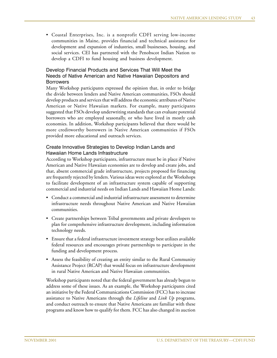• Coastal Enterprises, Inc. is a nonprofit CDFI serving low-income communities in Maine, provides financial and technical assistance for development and expansion of industries, small businesses, housing, and social services. CEI has partnered with the Penobscot Indian Nation to develop a CDFI to fund housing and business development.

# Develop Financial Products and Services That Will Meet the Needs of Native American and Native Hawaiian Depositors and Borrowers

Many Workshop participants expressed the opinion that, in order to bridge the divide between lenders and Native American communities, FSOs should develop products and services that will address the economic attributes of Native American or Native Hawaiian markets. For example, many participants suggested that FSOs develop underwriting standards that can evaluate potential borrowers who are employed seasonally, or who have lived in mostly cash economies. In addition, Workshop participants believed that there would be more creditworthy borrowers in Native American communities if FSOs provided more educational and outreach services.

# Create Innovative Strategies to Develop Indian Lands and Hawaiian Home Lands Infrastructure

According to Workshop participants, infrastructure must be in place if Native American and Native Hawaiian economies are to develop and create jobs, and that, absent commercial grade infrastructure, projects proposed for financing are frequently rejected by lenders. Various ideas were explored at the Workshops to facilitate development of an infrastructure system capable of supporting commercial and industrial needs on Indian Lands and Hawaiian Home Lands:

- Conduct a commercial and industrial infrastructure assessment to determine infrastructure needs throughout Native American and Native Hawaiian communities.
- Create partnerships between Tribal governments and private developers to plan for comprehensive infrastructure development, including information technology needs.
- Ensure that a federal infrastructure investment strategy best utilizes available federal resources and encourages private partnerships to participate in the funding and development process.
- Assess the feasibility of creating an entity similar to the Rural Community Assistance Project (RCAP) that would focus on infrastructure development in rural Native American and Native Hawaiian communities.

Workshop participants noted that the federal government has already begun to address some of these issues. As an example, the Workshop participants cited an initiative by the Federal Communications Commission (FCC) has to increase assistance to Native Americans through the *Lifeline* and *Link Up* programs, and conduct outreach to ensure that Native Americans are familiar with these programs and know how to qualify for them. FCC has also changed its auction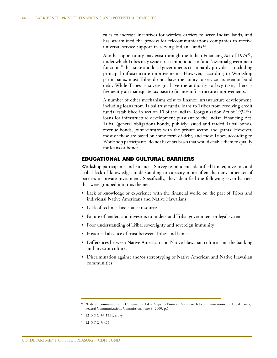rules to increase incentives for wireless carriers to serve Indian lands, and has streamlined the process for telecommunications companies to receive universal-service support in serving Indian Lands.<sup>64</sup>

Another opportunity may exist through the Indian Financing Act of 1974<sup>65</sup>, under which Tribes may issue tax-exempt bonds to fund "essential government functions" that state and local governments customarily provide — including principal infrastructure improvements. However, according to Workshop participants, most Tribes do not have the ability to service tax-exempt bond debt. While Tribes as sovereigns have the authority to levy taxes, there is frequently an inadequate tax base to finance infrastructure improvements.

A number of other mechanisms exist to finance infrastructure development, including loans from Tribal trust funds, loans to Tribes from revolving credit funds (established in section 10 of the Indian Reorganization Act of  $1934^{66}$ ), loans for infrastructure development pursuant to the Indian Financing Act, Tribal (general obligation) bonds, publicly issued and traded Tribal bonds, revenue bonds, joint ventures with the private sector, and grants. However, most of these are based on some form of debt, and most Tribes, according to Workshop participants, do not have tax bases that would enable them to qualify for loans or bonds.

# EDUCATIONAL AND CULTURAL BARRIERS

Workshop participants and Financial Survey respondents identified banker, investor, and Tribal lack of knowledge, understanding or capacity more often than any other set of barriers to private investment. Specifically, they identified the following seven barriers that were grouped into this theme:

- Lack of knowledge or experience with the financial world on the part of Tribes and individual Native Americans and Native Hawaiians
- Lack of technical assistance resources
- Failure of lenders and investors to understand Tribal government or legal systems
- Poor understanding of Tribal sovereignty and sovereign immunity
- Historical absence of trust between Tribes and banks
- Differences between Native American and Native Hawaiian cultures and the banking and investor cultures
- Discrimination against and/or stereotyping of Native American and Native Hawaiian communities

<sup>66</sup> 12 *U.S.C.* § 465.

<sup>64</sup> "Federal Communications Commission Takes Steps to Promote Access to Telecommunications on Tribal Lands," Federal Communications Commission, June 8, 2000, p.1.

<sup>65</sup> 12 *U.S.C.* §§ 1451, *et seq.*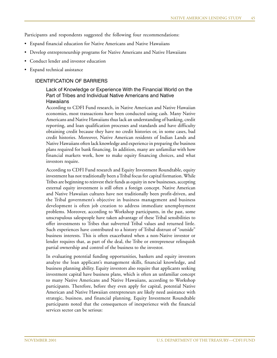Participants and respondents suggested the following four recommendations:

- Expand financial education for Native Americans and Native Hawaiians
- Develop entrepreneurship programs for Native Americans and Native Hawaiians
- Conduct lender and investor education
- Expand technical assistance

#### IDENTIFICATION OF BARRIERS

#### Lack of Knowledge or Experience With the Financial World on the Part of Tribes and Individual Native Americans and Native **Hawaiians**

According to CDFI Fund research, in Native American and Native Hawaiian economies, most transactions have been conducted using cash. Many Native Americans and Native Hawaiians thus lack an understanding of banking, credit reporting, and loan qualification processes and standards and have difficulty obtaining credit because they have no credit histories or, in some cases, bad credit histories. Moreover, Native American residents of Indian Lands and Native Hawaiians often lack knowledge and experience in preparing the business plans required for bank financing. In addition, many are unfamiliar with how financial markets work, how to make equity financing choices, and what investors require.

According to CDFI Fund research and Equity Investment Roundtable, equity investment has not traditionally been a Tribal focus for capital formation. While Tribes are beginning to reinvest their funds as equity in new businesses, accepting external equity investment is still often a foreign concept. Native American and Native Hawaiian cultures have not traditionally been profit-driven, and the Tribal government's objective in business management and business development is often job creation to address immediate unemployment problems. Moreover, according to Workshop participants, in the past, some unscrupulous salespeople have taken advantage of these Tribal sensibilities to offer investments to Tribes that subverted Tribal values and returned little. Such experiences have contributed to a history of Tribal distrust of "outside" business interests. This is often exacerbated when a non-Native investor or lender requires that, as part of the deal, the Tribe or entrepreneur relinquish partial ownership and control of the business to the investor.

In evaluating potential funding opportunities, bankers and equity investors analyze the loan applicant's management skills, financial knowledge, and business planning ability. Equity investors also require that applicants seeking investment capital have business plans, which is often an unfamiliar concept to many Native Americans and Native Hawaiians, according to Workshop participants. Therefore, before they even apply for capital, potential Native American and Native Hawaiian entrepreneurs are likely need assistance with strategic, business, and financial planning. Equity Investment Roundtable participants noted that the consequences of inexperience with the financial services sector can be serious: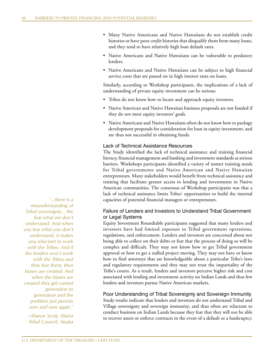- Many Native Americans and Native Hawaiians do not establish credit histories or have poor credit histories that disqualify them from many loans, and they tend to have relatively high loan default rates.
- Native Americans and Native Hawaiians can be vulnerable to predatory lenders.
- Native Americans and Native Hawaiians can be subject to high financial service costs that are passed on in high interest rates on loans.

Similarly, according to Workshop participants, the implications of a lack of understanding of private equity investment can be serious:

- Tribes do not know how to locate and approach equity investors.
- Native American and Native Hawaiian business proposals are not funded if they do not meet equity investors' goals.
- Native Americans and Native Hawaiians often do not know how to package development proposals for consideration for loan in equity investment, and are thus not successful in obtaining funds.

#### Lack of Technical Assistance Resources

The Study identified the lack of technical assistance and training financial literacy, financial management and banking and investment standards as serious barriers. Workshops participants identified a variety of unmet training needs for Tribal governments and Native American and Native Hawaiian entrepreneurs. Many stakeholders would benefit from technical assistance and training that facilitate greater access to lending and investments in Native American communities. The consensus of Workshop participants was that a lack of technical assistance limits Tribes' opportunities to build the internal capacities of potential financial managers or entrepreneurs.

## Failure of Lenders and Investors to Understand Tribal Government or Legal Systems

Equity Investment Roundtable participants suggested that many lenders and investors have had limited exposure to Tribal government operations, regulations, and enforcement. Lenders and investors are concerned about not being able to collect on their debts or fear that the process of doing so will be complex and difficult. They may not know how to get Tribal government approval or how to get a stalled project moving. They may not have or know how to find attorneys that are knowledgeable about a particular Tribe's laws and regulatory requirements and they may not trust the impartiality of the Tribe's courts. As a result, lenders and investors perceive higher risk and cost associated with lending and investment activity on Indian Lands and thus few lenders and investors pursue Native American markets.

#### Poor Understanding of Tribal Sovereignty and Sovereign Immunity

Study results indicate that lenders and investors do not understand Tribal and Village sovereignty and sovereign immunity, and thus often are reluctant to conduct business on Indian Lands because they fear that they will not be able to recover assets or enforce contracts in the event of a default or a bankruptcy.

*"…there is a misunderstanding of Tribal sovereignty… We fear what we don't understand. And when you fear what you don't understand, it makes you reluctant to work with the Tribes. And if the lenders won't work with the Tribes and they fear them, then biases are created. And when the biases are created they get carried generation to generation and the problem just persists over and over again."*

*—Sharon Scott, Alatna Tribal Council, Alaska*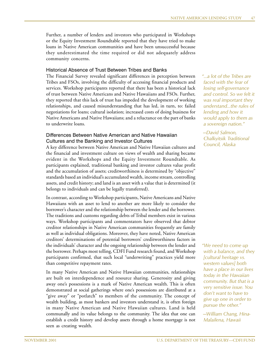Further, a number of lenders and investors who participated in Workshops or the Equity Investment Roundtable reported that they have tried to make loans in Native American communities and have been unsuccessful because they underestimated the time required or did not adequately address community concerns.

#### Historical Absence of Trust Between Tribes and Banks

The Financial Survey revealed significant differences in perception between Tribes and FSOs, involving the difficulty of accessing financial products and services. Workshop participants reported that there has been a historical lack of trust between Native Americans and Native Hawaiians and FSOs. Further, they reported that this lack of trust has impeded the development of working relationships, and caused misunderstanding that has led, in turn, to: failed negotiations for loans; cultural isolation; increased costs of doing business for Native Americans and Native Hawaiians; and a reluctance on the part of banks to underwrite loans.

# Differences Between Native American and Native Hawaiian Cultures and the Banking and Investor Cultures

A key difference between Native American and Native Hawaiian cultures and the financial and investment culture on views of wealth and sharing became evident in the Workshops and the Equity Investment Roundtable. As participants explained, traditional banking and investor cultures value profit and the accumulation of assets; creditworthiness is determined by "objective" standards based an individual's accumulated wealth, income stream, controlling assets, and credit history; and land is an asset with a value that is determined (it belongs to individuals and can be legally transferred).

In contrast, according to Workshop participants, Native Americans and Native Hawaiians with an asset to lend to another are more likely to consider the borrower's character and the relationship between the lender and the borrower. The traditions and customs regarding debts of Tribal members exist in various ways. Workshop participants and commentators have observed that debtor creditor relationships in Native American communities frequently are family as well as individual obligations. Moreover, they have noted, Native American creditors' determinations of potential borrowers' creditworthiness factors in the individuals' character and the ongoing relationship between the lender and the borrower. Perhaps most telling, CDFI Fund research found, and Workshop participants confirmed, that such local "underwriting" practices yield more than competitive repayment rates.

In many Native American and Native Hawaiian communities, relationships are built on interdependence and resource sharing. Generosity and giving away one's possessions is a mark of Native American wealth. This is often demonstrated at social gatherings where one's possessions are distributed at a "give away" or "potlatch" to members of the community. The concept of wealth building, as most bankers and investors understand it, is often foreign in many Native American and Native Hawaiian cultures. Land is held communally and its value belongs to the community. The idea that one can establish a credit history and develop assets through a home mortgage is not seen as creating wealth.

*"…a lot of the Tribes are faced with the fear of losing self-governance and control. So we felt it was real important they understand…the rules of lending and how it would apply to them as a sovereign nation."*

*—David Salmon, Chalkyitsik Traditional Council, Alaska*

*"We need to come up with a balance, and they [cultural heritage vs. western values] both have a place in our lives today in the Hawaiian community. But that is a very sensitive issue. You don't want to have to give up one in order to pursue the other."*

*—William Chang, Hina-Malailena, Hawaii*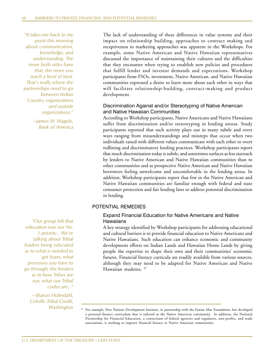*"It takes me back to my point this morning about communication, knowledge, and understanding. The more both sides have that, the more you reach a level of trust. That's really where the partnerships need to go between Indian Country organizations and outside organizations."*

> *—James W. Wagele, Bank of America*

*"Our group felt that education was our No. 1 priority… We're talking about Tribal leaders being educated as to what is needed to get loans, what processes you have to go through; the lenders as to how Tribes are run, what our Tribal codes are…"*

> *—Sharon Holmdahl, Colville Tribal Credit, Washington*

The lack of understanding of these differences in value systems and their impact on relationship building, approaches to contract making and receptiveness to marketing approaches was apparent in the Workshops. For example, some Native American and Native Hawaiian representatives discussed the importance of maintaining their cultures and the difficulties that they encounter when trying to establish new policies and procedures that fulfill lender and investor demands and expectations. Workshop participants from FSOs, investment, Native American, and Native Hawaiian communities expressed a desire to learn more about each other in ways that will facilitate relationship-building, contract-making and product development.

# Discrimination Against and/or Stereotyping of Native American and Native Hawaiian Communities

According to Workshop participants, Native Americans and Native Hawaiians suffer from discrimination and/or stereotyping in lending arenas. Study participants reported that such activity plays out in many subtle and overt ways ranging from misunderstandings and missteps that occur when two individuals raised with different values communicate with each other to overt redlining and discriminatory lending practices. Workshop participants report that much discrimination today is subtle, and sometimes surfaces as less outreach by lenders to Native American and Native Hawaiian communities than to other communities and as prospective Native American and Native Hawaiian borrowers feeling unwelcome and uncomfortable in the lending arena. In addition, Workshop participants report that few in the Native American and Native Hawaiian communities are familiar enough with federal and state consumer protection and fair lending laws to address potential discrimination in lending.

#### POTENTIAL REMEDIES

# Expand Financial Education for Native Americans and Native **Hawaiians**

A key strategy identified by Workshop participants for addressing educational and cultural barriers is to provide financial education to Native Americans and Native Hawaiians. Such education can enhance economic and community development efforts on Indian Lands and Hawaiian Home Lands by giving people the expertise to shape their own and their communities' economic futures. Financial literacy curricula are readily available from various sources, although they may need to be adapted for Native American and Native Hawaiian students. 67

 $\degree$  For example, First Nations Development Institute, in partnership with the Fannie Mae Foundation, has developed a personal finance curriculum that is tailored to the Native American community. In addition, the National Partnership for Financial Education, a consortium of federal agencies and regulators, non-profits, and trade associations, is working to improve financial literacy in Native American communities.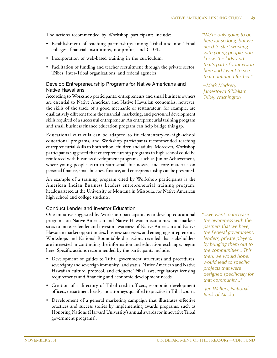The actions recommended by Workshop participants include:

- Establishment of teaching partnerships among Tribal and non-Tribal colleges, financial institutions, nonprofits, and CDFIs.
- Incorporation of web-based training in the curriculum.
- Facilitation of funding and teacher recruitment through the private sector, Tribes, Inter-Tribal organizations, and federal agencies.

# Develop Entrepreneurship Programs for Native Americans and Native Hawaiians

According to Workshop participants, entrepreneurs and small business owners are essential to Native American and Native Hawaiian economies; however, the skills of the trade of a good mechanic or restaurateur, for example, are qualitatively different from the financial, marketing, and personnel development skills required of a successful entrepreneur. An entrepreneurial training program and small business finance education program can help bridge this gap.

Educational curricula can be adapted to fit elementary-to-high-school educational programs, and Workshop participants recommended teaching entrepreneurial skills to both school children and adults. Moreover, Workshop participants suggested that entrepreneurship programs in high school could be reinforced with business development programs, such as Junior Achievement, where young people learn to start small businesses, and core materials on personal finance, small business finance, and entrepreneurship can be presented.

An example of a training program cited by Workshop participants is the American Indian Business Leaders entrepreneurial training program, headquartered at the University of Montana in Missoula, for Native American high school and college students.

#### Conduct Lender and Investor Education

One initiative suggested by Workshop participants is to develop educational programs on Native American and Native Hawaiian economies and markets so as to increase lender and investor awareness of Native American and Native Hawaiian market opportunities, business successes, and emerging entrepreneurs. Workshops and National Roundtable discussions revealed that stakeholders are interested in continuing the information and education exchanges begun here. Specific actions recommended by the participants include:

- Development of guides to Tribal government structures and procedures, sovereignty and sovereign immunity, land status, Native American and Native Hawaiian culture, protocol, and etiquette Tribal laws, regulatory/licensing requirements and financing and economic development needs.
- Creation of a directory of Tribal credit officers, economic development officers, department heads, and attorneys qualified to practice in Tribal courts.
- Development of a general marketing campaign that illustrates effective practices and success stories by implementing awards programs, such as Honoring Nations (Harvard University's annual awards for innovative Tribal government programs).

*"We're only going to be here for so long, but we need to start working with young people, you know, the kids, and that's part of your vision here and I want to see that continued further."*

*—Mark Madsen, Jamestown S'Klallam Tribe, Washington*

*"…we want to increase the awareness with the partners that we have, the Federal government, lenders, private players, by bringing them out to the communities… This then, we would hope, would lead to specific projects that were designed specifically for that community…"*

*—Jeri Walters, National Bank of Alaska*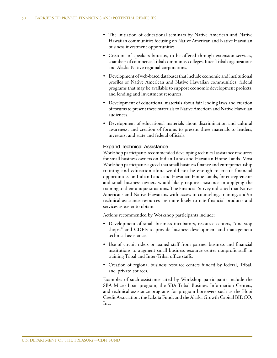- The initiation of educational seminars by Native American and Native Hawaiian communities focusing on Native American and Native Hawaiian business investment opportunities.
- Creation of speakers bureaus, to be offered through extension services, chambers of commerce, Tribal community colleges, Inter-Tribal organizations and Alaska Native regional corporations.
- Development of web-based databases that include economic and institutional profiles of Native American and Native Hawaiian communities, federal programs that may be available to support economic development projects, and lending and investment resources.
- Development of educational materials about fair lending laws and creation of forums to present these materials to Native American and Native Hawaiian audiences.
- Development of educational materials about discrimination and cultural awareness, and creation of forums to present these materials to lenders, investors, and state and federal officials.

# Expand Technical Assistance

Workshop participants recommended developing technical assistance resources for small business owners on Indian Lands and Hawaiian Home Lands. Most Workshop participants agreed that small business finance and entrepreneurship training and education alone would not be enough to create financial opportunities on Indian Lands and Hawaiian Home Lands, for entrepreneurs and small-business owners would likely require assistance in applying the training to their unique situations. The Financial Survey indicated that Native Americans and Native Hawaiians with access to counseling, training, and/or technical-assistance resources are more likely to rate financial products and services as easier to obtain.

Actions recommended by Workshop participants include:

- Development of small business incubators, resource centers, "one-stop shops," and CDFIs to provide business development and management technical assistance.
- Use of circuit riders or loaned staff from partner business and financial institutions to augment small business resource center nonprofit staff in training Tribal and Inter-Tribal office staffs.
- Creation of regional business resource centers funded by federal, Tribal, and private sources.

Examples of such assistance cited by Workshop participants include the SBA Micro Loan program, the SBA Tribal Business Information Centers, and technical assistance programs for program borrowers such as the Hopi Credit Association, the Lakota Fund, and the Alaska Growth Capital BIDCO, Inc.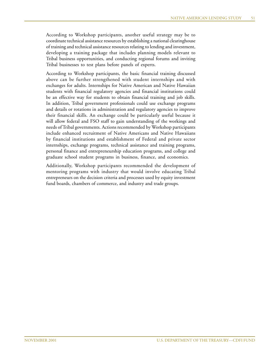According to Workshop participants, another useful strategy may be to coordinate technical assistance resources by establishing a national clearinghouse of training and technical assistance resources relating to lending and investment, developing a training package that includes planning models relevant to Tribal business opportunities, and conducting regional forums and inviting Tribal businesses to test plans before panels of experts.

According to Workshop participants, the basic financial training discussed above can be further strengthened with student internships and with exchanges for adults. Internships for Native American and Native Hawaiian students with financial regulatory agencies and financial institutions could be an effective way for students to obtain financial training and job skills. In addition, Tribal government professionals could use exchange programs and details or rotations in administration and regulatory agencies to improve their financial skills. An exchange could be particularly useful because it will allow federal and FSO staff to gain understanding of the workings and needs of Tribal governments. Actions recommended by Workshop participants include enhanced recruitment of Native Americans and Native Hawaiians by financial institutions and establishment of Federal and private sector internships, exchange programs, technical assistance and training programs, personal finance and entrepreneurship education programs, and college and graduate school student programs in business, finance, and economics.

Additionally, Workshop participants recommended the development of mentoring programs with industry that would involve educating Tribal entrepreneurs on the decision criteria and processes used by equity investment fund boards, chambers of commerce, and industry and trade groups.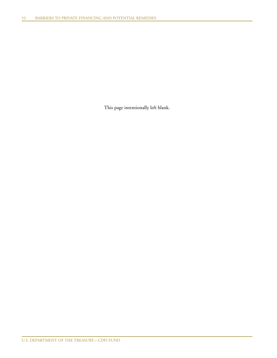This page intentionally left blank.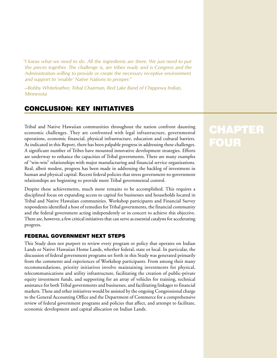*"I know what we need to do. All the ingredients are there. We just need to put the pieces together. The challenge is, are tribes ready and is Congress and the Administration willing to provide or create the necessary receptive environment and support to 'enable' Native Nations to prosper."*

*—Bobby Whitefeather, Tribal Chairman, Red Lake Band of Chippewa Indian, Minnesota*

# CONCLUSION: KEY INITIATIVES

Tribal and Native Hawaiian communities throughout the nation confront daunting economic challenges. They are confronted with legal infrastructure, governmental operations, economic financial, physical infrastructure, education and cultural barriers. As indicated in this Report, there has been palpable progress in addressing these challenges. A significant number of Tribes have mounted innovative development strategies. Efforts are underway to enhance the capacities of Tribal governments. There are many examples of "win-win" relationships with major manufacturing and financial service organizations. Real, albeit modest, progress has been made in addressing the backlog of investment in human and physical capital. Recent federal policies that stress government-to-government relationships are beginning to provide more Tribal governmental control.

Despite these achievements, much more remains to be accomplished. This requires a disciplined focus on expanding access to capital for businesses and households located in Tribal and Native Hawaiian communities. Workshop participants and Financial Survey respondents identified a host of remedies for Tribal governments, the financial community and the federal government acting independently or in concert to achieve this objective. There are, however, a few critical initiatives that can serve as essential catalysts for accelerating progress.

# FEDERAL GOVERNMENT NEXT STEPS

This Study does not purport to review every program or policy that operates on Indian Lands or Native Hawaiian Home Lands, whether federal, state or local. In particular, the discussion of federal government programs set forth in this Study was generated primarily from the comments and experiences of Workshop participants. From among their many recommendations, priority initiatives involve maintaining investments for physical, telecommunications and utility infrastructure, facilitating the creation of public-private equity investment funds, and supporting for an array of vehicles for training, technical assistance for both Tribal governments and businesses, and facilitating linkages to financial markets. These and other initiatives would be assisted by the ongoing Congressional charge to the General Accounting Office and the Department of Commerce for a comprehensive review of federal government programs and policies that affect, and attempt to facilitate, economic development and capital allocation on Indian Lands.

# CHAPTER FOUR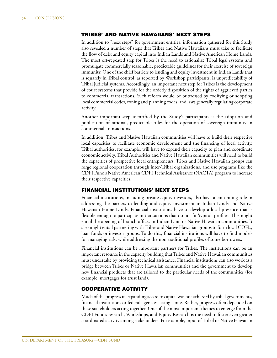# TRIBES' AND NATIVE HAWAIIANS' NEXT STEPS

In addition to "next steps" for government entities, information gathered for this Study also revealed a number of steps that Tribes and Native Hawaiians must take to facilitate the flow of debt and equity capital into Indian Lands and Native American Home Lands. The most oft-repeated step for Tribes is the need to rationalize Tribal legal systems and promulgate commercially reasonable, predictable guidelines for their exercise of sovereign immunity. One of the chief barriers to lending and equity investment in Indian Lands that is squarely in Tribal control, as reported by Workshop participants, is unpredictability of Tribal judicial systems. Accordingly, an important next step for Tribes is the development of court systems that provide for the orderly disposition of the rights of aggrieved parties to commercial transactions. Such reform would be buttressed by codifying or adopting local commercial codes, zoning and planning codes, and laws generally regulating corporate activity.

Another important step identified by the Study's participants is the adoption and publication of rational, predictable rules for the operation of sovereign immunity in commercial transactions.

In addition, Tribes and Native Hawaiian communities will have to build their respective local capacities to facilitate economic development and the financing of local activity. Tribal authorities, for example, will have to expand their capacity to plan and coordinate economic activity. Tribal Authorities and Native Hawaiian communities will need to build the capacities of prospective local entrepreneurs. Tribes and Native Hawaiian groups can forge regional cooperation through inter-Tribal organizations, and use programs like the CDFI Fund's Native American CDFI Technical Assistance (NACTA) program to increase their respective capacities.

#### FINANCIAL INSTITUTIONS' NEXT STEPS

Financial institutions, including private equity investors, also have a continuing role in addressing the barriers to lending and equity investment in Indian Lands and Native Hawaiian Home Lands. Financial institutions have to develop a local presence that is flexible enough to participate in transactions that do not fit 'typical' profiles. This might entail the opening of branch offices in Indian Land or Native Hawaiian communities. It also might entail partnering with Tribes and Native Hawaiian groups to form local CDFIs, loan funds or investor groups. To do this, financial institutions will have to find models for managing risk, while addressing the non-traditional profiles of some borrowers.

Financial institutions can be important partners for Tribes. The institutions can be an important resource in the capacity building that Tribes and Native Hawaiian communities must undertake by providing technical assistance. Financial institutions can also work as a bridge between Tribes or Native Hawaiian communities and the government to develop new financial products that are tailored to the particular needs of the communities (for example, mortgages for trust land).

#### COOPERATIVE ACTIVITY

Much of the progress in expanding access to capital was not achieved by tribal governments, financial institutions or federal agencies acting alone. Rather, progress often depended on these stakeholders acting together. One of the most important themes to emerge from the CDFI Fund's research, Workshops, and Equity Research is the need to foster even greater coordinated activity among stakeholders. For example, input of Tribal or Native Hawaiian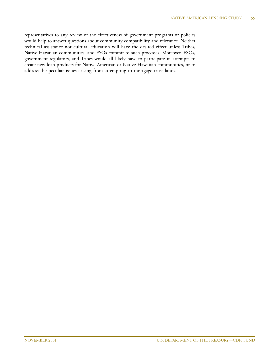representatives to any review of the effectiveness of government programs or policies would help to answer questions about community compatibility and relevance. Neither technical assistance nor cultural education will have the desired effect unless Tribes, Native Hawaiian communities, and FSOs commit to such processes. Moreover, FSOs, government regulators, and Tribes would all likely have to participate in attempts to create new loan products for Native American or Native Hawaiian communities, or to address the peculiar issues arising from attempting to mortgage trust lands.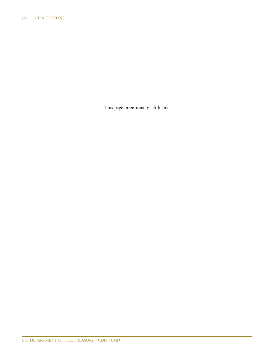This page intentionally left blank.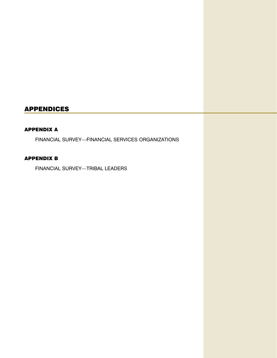# APPENDICES

# APPENDIX A

FINANCIAL SURVEY—FINANCIAL SERVICES ORGANIZATIONS

# APPENDIX B

FINANCIAL SURVEY—TRIBAL LEADERS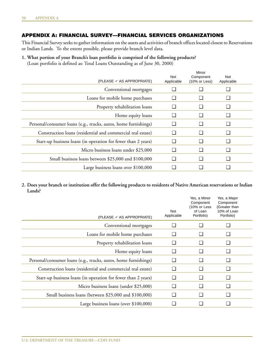# APPENDIX A: FINANCIAL SURVEY—FINANCIAL SERVICES ORGANIZATIONS

This Financial Survey seeks to gather information on the assets and activities of branch offices located closest to Reservations or Indian Lands. To the extent possible, please provide branch level data.

#### **1. What portion of your Branch's loan portfolio is comprised of the following products?**

(Loan portfolio is defined as: Total Loans Outstanding as of June 30, 2000)

| (PLEASE √ AS APPROPRIATE)                                       | <b>Not</b><br>Applicable | Minor<br>Component<br>$(10\% \text{ or }$ Less) | Not<br>Applicable |  |
|-----------------------------------------------------------------|--------------------------|-------------------------------------------------|-------------------|--|
| Conventional mortgages                                          |                          |                                                 |                   |  |
| Loans for mobile home purchases                                 |                          |                                                 |                   |  |
| Property rehabilitation loans                                   |                          |                                                 |                   |  |
| Home equity loans                                               |                          |                                                 |                   |  |
| Personal/consumer loans (e.g., trucks, autos, home furnishings) |                          |                                                 |                   |  |
| Construction loans (residential and commercial real estate)     |                          |                                                 |                   |  |
| Start-up business loans (in operation for fewer than 2 years)   |                          |                                                 |                   |  |
| Micro business loans under \$25,000                             |                          |                                                 |                   |  |
| Small business loans between \$25,000 and \$100,000             |                          |                                                 |                   |  |
| Large business loans over \$100,000                             |                          |                                                 |                   |  |

#### **2. Does your branch or institution offer the following products to residents of Native American reservations or Indian Lands?**

| (PLEASE √ AS APPROPRIATE)                                       | Not<br>Applicable        | Yes, a Minor<br>Component<br>(10% or Less<br>of Loan<br>Portfolio) | Yes, a Major<br>Component<br>(Greater than<br>10% of Loan<br>Portfolio) |  |
|-----------------------------------------------------------------|--------------------------|--------------------------------------------------------------------|-------------------------------------------------------------------------|--|
| Conventional mortgages                                          |                          |                                                                    |                                                                         |  |
| Loans for mobile home purchases                                 |                          |                                                                    |                                                                         |  |
| Property rehabilitation loans                                   |                          |                                                                    |                                                                         |  |
| Home equity loans                                               |                          |                                                                    |                                                                         |  |
| Personal/consumer loans (e.g., trucks, autos, home furnishings) |                          |                                                                    |                                                                         |  |
| Construction loans (residential and commercial real estate)     |                          |                                                                    |                                                                         |  |
| Start-up business loans (in operation for fewer than 2 years)   |                          |                                                                    |                                                                         |  |
| Micro business loans (under \$25,000)                           | $\overline{\phantom{a}}$ |                                                                    |                                                                         |  |
| Small business loans (between \$25,000 and \$100,000)           | $\overline{\phantom{a}}$ | $\mathcal{L}_{\mathcal{A}}$                                        |                                                                         |  |
| Large business loans (over \$100,000)                           |                          |                                                                    |                                                                         |  |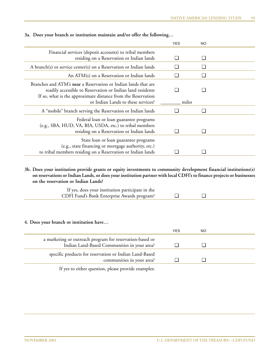|                                                                                                                                                                                              | <b>YES</b> | <b>NO</b> |  |
|----------------------------------------------------------------------------------------------------------------------------------------------------------------------------------------------|------------|-----------|--|
| Financial services (deposit accounts) to tribal members<br>residing on a Reservation or Indian lands                                                                                         |            | ப         |  |
| A branch(s) or service center(s) on a Reservation or Indian lands                                                                                                                            |            |           |  |
| An ATM(s) on a Reservation or Indian lands                                                                                                                                                   |            |           |  |
| Branches and ATM's near a Reservation or Indian lands that are<br>readily accessible to Reservation or Indian land residents<br>If so, what is the approximate distance from the Reservation |            |           |  |
| or Indian Lands to these services?                                                                                                                                                           | miles      |           |  |
| A "mobile" branch serving the Reservation or Indian lands                                                                                                                                    |            |           |  |
| Federal loan or loan guarantee programs<br>(e.g., SBA, HUD, VA, BIA, USDA, etc.) to tribal members<br>residing on a Reservation or Indian lands                                              |            |           |  |
| State loan or loan guarantee programs<br>(e.g., state financing or mortgage authority, etc.)<br>to tribal members residing on a Reservation or Indian lands                                  |            |           |  |

#### **3a. Does your branch or institution maintain and/or offer the following…**

# **3b. Does your institution provide grants or equity investments to community development financial institutions(s) on reservations or Indian Lands, or does your institution partner with local CDFI's to finance projects or businesses on the reservation or Indian Lands?**

| If yes, does your institution participate in the |  |  |
|--------------------------------------------------|--|--|
| CDFI Fund's Bank Enterprise Awards program?      |  |  |

#### **4. Does your branch or institution have…**

|                                                                                                         | YFS | NO. |  |
|---------------------------------------------------------------------------------------------------------|-----|-----|--|
| a marketing or outreach program for reservation-based or<br>Indian Land-Based Communities in your area? |     |     |  |
| specific products for reservation or Indian Land-Based<br>communities in your area?                     |     |     |  |

If yes to either question, please provide examples: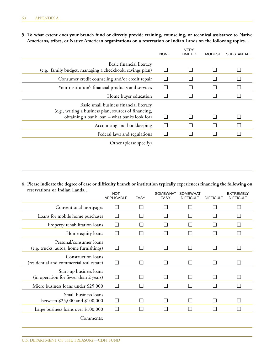**5. To what extent does your branch fund or directly provide training, counseling, or technical assistance to Native Americans, tribes, or Native American organizations on a reservation or Indian Lands on the following topics…**

|                                                                                                  | <b>NONE</b> | <b>VERY</b><br>LIMITED | <b>MODEST</b> | <b>SUBSTANTIAL</b> |
|--------------------------------------------------------------------------------------------------|-------------|------------------------|---------------|--------------------|
| Basic financial literacy                                                                         |             |                        |               |                    |
| (e.g., family budget, managing a checkbook, savings plan)                                        |             |                        |               |                    |
| Consumer credit counseling and/or credit repair                                                  |             |                        |               |                    |
| Your institution's financial products and services                                               |             |                        |               |                    |
| Home buyer education                                                                             |             |                        |               |                    |
| Basic small business financial literacy<br>(e.g., writing a business plan, sources of financing, |             |                        |               |                    |
| obtaining a bank loan – what banks look for)                                                     |             |                        |               |                    |
| Accounting and bookkeeping                                                                       |             |                        |               |                    |
| Federal laws and regulations                                                                     |             |                        |               |                    |
|                                                                                                  |             |                        |               |                    |

Other (please specify)

**6. Please indicate the degree of ease or difficulty branch or institution typically experiences financing the following on reservations or Indian Lands…**

|                                                                   | <b>NOT</b><br>APPLICABLE | EASY   | <b>SOMEWHAT</b><br>EASY | <b>SOMEWHAT</b><br><b>DIFFICULT</b> | <b>DIFFICULT</b>         | <b>EXTREMELY</b><br><b>DIFFICULT</b> |
|-------------------------------------------------------------------|--------------------------|--------|-------------------------|-------------------------------------|--------------------------|--------------------------------------|
| Conventional mortgages                                            | ❏                        | ❏      | ❏                       | ❏                                   | $\Box$                   | ❏                                    |
| Loans for mobile home purchases                                   | ❏                        | ❏      | ❏                       | $\Box$                              |                          | ❏                                    |
| Property rehabilitation loans                                     | ❏                        | ❏      | ❏                       | ❏                                   | ப                        | $\Box$                               |
| Home equity loans                                                 | $\Box$                   | $\Box$ | □                       | $\Box$                              |                          | $\Box$                               |
| Personal/consumer loans<br>(e.g. trucks, autos, home furnishings) | ❏                        | $\Box$ | □                       | $\Box$                              | ⊔                        | ❏                                    |
| Construction loans<br>(residential and commercial real estate)    | ❏                        | ❏      | □                       | □                                   |                          | □                                    |
| Start-up business loans<br>(in operation for fewer than 2 years)  | ❏                        | ❏      | ❏                       | ❏                                   |                          | ⊔                                    |
| Micro business loans under \$25,000                               | $\Box$                   | $\Box$ | ❏                       | ❏                                   | ❏                        | ❏                                    |
| Small business loans<br>between \$25,000 and \$100,000            | ❏                        | ❏      | ❏                       | ❏                                   | ❏                        | ❏                                    |
| Large business loans over \$100,000                               | ❏                        | $\Box$ | ❏                       | ❏                                   | $\overline{\phantom{a}}$ | ❏                                    |
| Comments:                                                         |                          |        |                         |                                     |                          |                                      |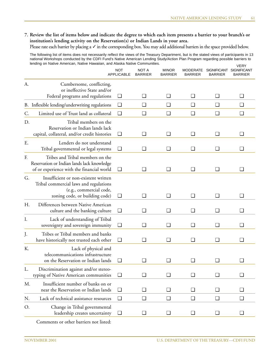#### **7. Review the list of items below and indicate the degree to which each item presents a barrier to your branch's or institution's lending activity on the Reservation(s) or Indian Lands in your area.**

Please rate each barrier by placing a √ in the corresponding box. You may add additional barriers in the space provided below.

The following list of items does not necessarily reflect the views of the Treasury Department, but is the stated views of participants in 13 national Workshops conducted by the CDFI Fund's Native American Lending Study/Action Plan Program regarding possible barriers to lending on Native American, Native Hawaiian, and Alaska Native Communities.

|    |                                                                                                                                             | <b>NOT</b><br>APPLICABLE | NOT A<br><b>BARRIER</b> | <b>MINOR</b><br><b>BARRIER</b> | MODERATE<br><b>BARRIER</b> | <b>SIGNIFICANT</b><br><b>BARRIER</b> | <b>VERY</b><br><b>SIGNIFICANT</b><br><b>BARRIER</b> |
|----|---------------------------------------------------------------------------------------------------------------------------------------------|--------------------------|-------------------------|--------------------------------|----------------------------|--------------------------------------|-----------------------------------------------------|
| A. | Cumbersome, conflicting,<br>or ineffective State and/or                                                                                     |                          |                         |                                |                            |                                      |                                                     |
|    | Federal programs and regulations                                                                                                            | $\Box$                   | ⊔                       | ❏                              | ⊔                          | ⊔                                    | ⊔                                                   |
|    | B. Inflexible lending/underwriting regulations                                                                                              | $\Box$                   | ⊔                       | $\Box$                         | □                          | □                                    | ⊔                                                   |
| C. | Limited use of Trust land as collateral                                                                                                     | $\Box$                   | $\Box$                  | $\Box$                         | $\Box$                     | $\Box$                               | $\Box$                                              |
| D. | Tribal members on the<br>Reservation or Indian lands lack<br>capital, collateral, and/or credit histories                                   | $\Box$                   | ⊔                       | ❏                              | ❏                          | ⊔                                    | ⊔                                                   |
| E. | Lenders do not understand<br>Tribal governmental or legal systems                                                                           | $\Box$                   | $\Box$                  | ❏                              | ❏                          | ❏                                    | ❏                                                   |
| F. | Tribes and Tribal members on the<br>Reservation or Indian lands lack knowledge<br>of or experience with the financial world                 | ❏                        | ⊔                       | ❏                              | ❏                          | ◻                                    | ❏                                                   |
| G. | Insufficient or non-existent written<br>Tribal commercial laws and regulations<br>(e.g., commercial code,<br>zoning code, or building code) | $\Box$                   | ⊔                       | ❏                              | ❏                          | ◻                                    | □                                                   |
| Н. | Differences between Native American<br>culture and the banking culture                                                                      | $\Box$                   | ⊔                       | ❏                              | □                          | ❏                                    | ⊔                                                   |
| I. | Lack of understanding of Tribal<br>sovereignty and sovereign immunity                                                                       | $\Box$                   | ⊔                       | ⊔                              | ⊔                          | ⊔                                    | ⊔                                                   |
| J. | Tribes or Tribal members and banks<br>have historically not trusted each other                                                              | $\Box$                   | ப                       | ◻                              | ◻                          | ❏                                    | ⊔                                                   |
| К. | Lack of physical and<br>telecommunications infrastructure<br>on the Reservation or Indian lands                                             | $\Box$                   |                         | ப                              | ப                          | $\blacksquare$                       | $\sqcup$                                            |
| L. | Discrimination against and/or stereo-<br>typing of Native American communities                                                              | $\Box$                   | l 1                     | ❏                              | ◻                          | ◻                                    | ❏                                                   |
| Μ. | Insufficient number of banks on or<br>near the Reservation or Indian lands                                                                  | $\Box$                   | $\Box$                  | $\Box$                         | $\Box$                     | □                                    | $\Box$                                              |
| N. | Lack of technical assistance resources                                                                                                      | $\Box$                   | ⊔                       | ❏                              | ❏                          | ❏                                    | ❏                                                   |
| Ο. | Change in Tribal governmental<br>leadership creates uncertainty                                                                             | $\Box$                   | ⊔                       | $\Box$                         | $\Box$                     | $\Box$                               | ⊔                                                   |

Comments or other barriers not listed: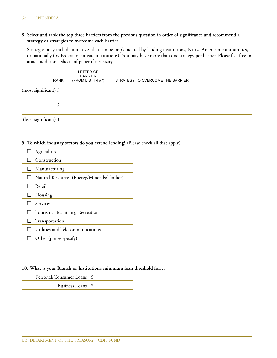#### **8. Select and rank the top three barriers from the previous question in order of significance and recommend a strategy or strategies to overcome each barrier.**

Strategies may include initiatives that can be implemented by lending institutions, Native American communities, or nationally (by Federal or private institutions). You may have more than one strategy per barrier. Please feel free to attach additional sheets of paper if necessary.

| <b>RANK</b>           | LETTER OF<br><b>BARRIER</b><br>(FROM LIST IN #7) | STRATEGY TO OVERCOME THE BARRIER |
|-----------------------|--------------------------------------------------|----------------------------------|
| (most significant) 3  |                                                  |                                  |
| 2                     |                                                  |                                  |
| (least significant) 1 |                                                  |                                  |

# **9. To which industry sectors do you extend lending?** (Please check all that apply)

❑ Agriculture ❑ Construction ❑ Manufacturing ❑ Natural Resources (Energy/Minerals/Timber) ❑ Retail ❑ Housing ❑ Services ❑ Tourism, Hospitality, Recreation ❑ Transportation ❑ Utilities and Telecommunications ❑ Other (please specify)

#### **10. What is your Branch or Institution's minimum loan threshold for…**

Personal/Consumer Loans \$

Business Loans \$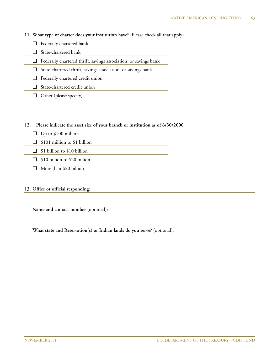- **11. What type of charter does your institution have?** (Please check all that apply)
	- ❑ Federally chartered bank
	- ❑ State-chartered bank
	- ❑ Federally chartered thrift, savings association, or savings bank
	- ❑ State-chartered thrift, savings association, or savings bank
	- ❑ Federally chartered credit union
	- ❑ State-chartered credit union
	- ❑ Other (please specify)
- **12. Please indicate the asset size of your branch or institution as of 6/30/2000**
	- ❑ Up to \$100 million
	- ❑ \$101 million to \$1 billion
	- ❑ \$1 billion to \$10 billion
	- ❑ \$10 billion to \$20 billion
	- ❑ More than \$20 billion

#### **13. Office or official responding:**

**Name and contact number** (optional):

**What state and Reservation(s) or Indian lands do you serve?** (optional):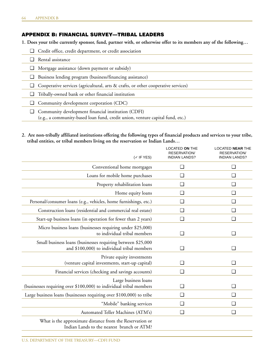# APPENDIX B: FINANCIAL SURVEY—TRIBAL LEADERS

**1. Does your tribe currently sponsor, fund, partner with, or otherwise offer to its members any of the following…**

| $\Box$ Credit office, credit department, or credit association                                                                      |
|-------------------------------------------------------------------------------------------------------------------------------------|
| Rental assistance                                                                                                                   |
| Mortgage assistance (down payment or subsidy)                                                                                       |
| Business lending program (business/financing assistance)<br>⊔                                                                       |
| Cooperative services (agricultural, arts & crafts, or other cooperative services)                                                   |
| Tribally-owned bank or other financial institution                                                                                  |
| Community development corporation (CDC)                                                                                             |
| Community development financial institution (CDFI)<br>(e.g., a community-based loan fund, credit union, venture capital fund, etc.) |

**2. Are non-tribally affiliated institutions offering the following types of financial products and services to your tribe, tribal entities, or tribal members living on the reservation or Indian Lands…**

| $(V$ IF YES)                                                                                               | <b>LOCATED ON THE</b><br>RESERVATION/<br><b>INDIAN LANDS?</b> | LOCATED NEAR THE<br>RESERVATION/<br><b>INDIAN LANDS?</b> |
|------------------------------------------------------------------------------------------------------------|---------------------------------------------------------------|----------------------------------------------------------|
| Conventional home mortgages                                                                                | $\Box$                                                        | $\Box$                                                   |
| Loans for mobile home purchases                                                                            | $\Box$                                                        | ❏                                                        |
| Property rehabilitation loans                                                                              | $\Box$                                                        | $\Box$                                                   |
| Home equity loans                                                                                          | $\Box$                                                        | □                                                        |
| Personal/consumer loans (e.g., vehicles, home furnishings, etc.)                                           | $\Box$                                                        | $\Box$                                                   |
| Construction loans (residential and commercial real estate)                                                | $\Box$                                                        | $\Box$                                                   |
| Start-up business loans (in operation for fewer than 2 years)                                              | $\Box$                                                        | ❏                                                        |
| Micro business loans (businesses requiring under \$25,000)<br>to individual tribal members                 | $\Box$                                                        | ❏                                                        |
| Small business loans (businesses requiring between \$25,000<br>and \$100,000) to individual tribal members | $\Box$                                                        | $\Box$                                                   |
| Private equity investments<br>(venture capital investments, start-up capital)                              | $\Box$                                                        | ப                                                        |
| Financial services (checking and savings accounts)                                                         | $\Box$                                                        | $\Box$                                                   |
| Large business loans<br>(businesses requiring over \$100,000) to individual tribal members                 | □                                                             | □                                                        |
| Large business loans (businesses requiring over \$100,000) to tribe                                        | $\Box$                                                        | ❏                                                        |
| "Mobile" banking services                                                                                  | □                                                             | $\Box$                                                   |
| Automated Teller Machines (ATM's)                                                                          | $\Box$                                                        | ❏                                                        |
| What is the approximate distance from the Reservation or<br>Indian Lands to the nearest branch or ATM?     |                                                               |                                                          |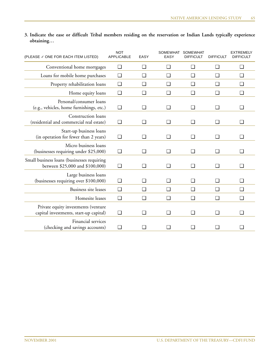**3. Indicate the ease or difficult Tribal members residing on the reservation or Indian Lands typically experience obtaining…**

| (PLEASE √ ONE FOR EACH ITEM LISTED)                                           | <b>NOT</b><br><b>APPLICABLE</b> | EASY   | SOMEWHAT<br>EASY | <b>SOMEWHAT</b><br><b>DIFFICULT</b> | <b>DIFFICULT</b> | <b>EXTREMELY</b><br><b>DIFFICULT</b> |
|-------------------------------------------------------------------------------|---------------------------------|--------|------------------|-------------------------------------|------------------|--------------------------------------|
| Conventional home mortgages                                                   | $\Box$                          | $\Box$ | $\Box$           | $\Box$                              | □                | $\Box$                               |
| Loans for mobile home purchases                                               | $\Box$                          | $\Box$ | □                | □                                   | $\Box$           | $\Box$                               |
| Property rehabilitation loans                                                 | $\Box$                          | $\Box$ | $\Box$           | □                                   | ப                | $\Box$                               |
| Home equity loans                                                             | $\Box$                          | $\Box$ | $\Box$           | ❏                                   | $\Box$           | $\Box$                               |
| Personal/consumer loans<br>(e.g., vehicles, home furnishings, etc.)           | $\Box$                          | □      | $\Box$           | □                                   | ∣ 1              | □                                    |
| Construction loans<br>(residential and commercial real estate)                | $\Box$                          | ∩      | $\Box$           | $\Box$                              | ∣ 1              | ❏                                    |
| Start-up business loans<br>(in operation for fewer than 2 years)              | $\Box$                          | l 1    | $\Box$           | $\Box$                              | l 1              | ❏                                    |
| Micro business loans<br>(businesses requiring under \$25,000)                 | $\Box$                          | ⊓      | $\Box$           | $\Box$                              |                  | $\Box$                               |
| Small business loans (businesses requiring<br>between \$25,000 and \$100,000) | $\Box$                          | $\Box$ | $\Box$           | $\Box$                              | ∣ 1              | $\Box$                               |
| Large business loans<br>(businesses requiring over \$100,000)                 | $\Box$                          | ❏      | ❏                | $\Box$                              | ⊔                | $\Box$                               |
| Business site leases                                                          | $\Box$                          | □      | $\Box$           | $\Box$                              | □                | □                                    |
| Homesite leases                                                               | $\Box$                          | $\Box$ | $\Box$           | □                                   | ப                | ❏                                    |
| Private equity investments (venture<br>capital investments, start-up capital) | $\Box$                          | ❏      | $\Box$           | $\Box$                              | ப                | $\Box$                               |
| Financial services<br>(checking and savings accounts)                         | □                               |        | $\blacksquare$   | $\blacksquare$                      |                  |                                      |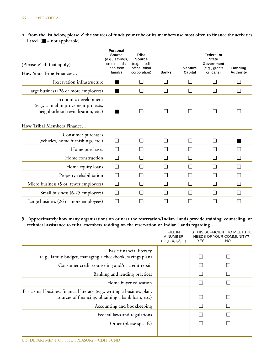**4. From the list below, please** ✓ **the sources of funds your tribe or its members use most often to finance the activities listed.** (■ = not applicable)

| (Please $\checkmark$ all that apply)                                                   | <b>Personal</b><br><b>Source</b><br>(e.g., savings,<br>credit cards.<br>loan from<br>family) | <b>Tribal</b><br><b>Source</b><br>(e.g., credit<br>office, tribal<br>corporation) | <b>Banks</b> | <b>Venture</b><br>Capital | <b>Federal or</b><br><b>State</b><br>Government<br>(e.g., grants<br>or loans) | <b>Bonding</b><br><b>Authority</b> |
|----------------------------------------------------------------------------------------|----------------------------------------------------------------------------------------------|-----------------------------------------------------------------------------------|--------------|---------------------------|-------------------------------------------------------------------------------|------------------------------------|
| How Your Tribe Finances                                                                |                                                                                              |                                                                                   |              |                           |                                                                               |                                    |
| Reservation infrastructure                                                             |                                                                                              | П                                                                                 | $\Box$       | ❏                         | □                                                                             | ❏                                  |
| Large business (26 or more employees)                                                  |                                                                                              | $\Box$                                                                            | $\Box$       | $\Box$                    | ❏                                                                             | $\Box$                             |
| Economic development<br>(e.g., capital improvement projects,                           |                                                                                              |                                                                                   |              |                           |                                                                               |                                    |
| neighborhood revitalization, etc.)                                                     |                                                                                              | ❏                                                                                 | $\Box$       | ❏                         | $\Box$                                                                        | ❏                                  |
| How Tribal Members Finance<br>Consumer purchases<br>(vehicles, home furnishings, etc.) | $\Box$                                                                                       | ◻                                                                                 | $\Box$       | □                         | ❏                                                                             |                                    |
| Home purchases                                                                         | $\Box$                                                                                       | ❏                                                                                 | $\Box$       | ❏                         | ◻                                                                             | ❏                                  |
| Home construction                                                                      | $\Box$                                                                                       | ❏                                                                                 | $\Box$       | ❏                         | ❏                                                                             | ❏                                  |
| Home equity loans                                                                      | $\Box$                                                                                       | $\Box$                                                                            | $\Box$       | □                         | ❏                                                                             | ❏                                  |
| Property rehabilitation                                                                | $\Box$                                                                                       | $\Box$                                                                            | $\Box$       | □                         | ❏                                                                             | ❏                                  |
| Micro business (5 or fewer employees)                                                  | $\Box$                                                                                       | $\Box$                                                                            | $\Box$       | □                         | ❏                                                                             | ❏                                  |
| Small business (6-25 employees)                                                        | $\Box$                                                                                       | $\Box$                                                                            | $\Box$       | □                         | $\Box$                                                                        | ❏                                  |
| Large business (26 or more employees)                                                  | $\Box$                                                                                       | $\overline{\phantom{a}}$                                                          | $\Box$       | □                         | ⊓                                                                             | $\Box$                             |

**5. Approximately how many organizations on or near the reservation/Indian Lands provide training, counseling, or technical assistance to tribal members residing on the reservation or Indian Lands regarding…**

|                                                                                                                               | FILL IN<br>A NUMBER<br>(e.g., 0,1,2,) | <b>YES</b> | IS THIS SUFFICIENT TO MEET THE<br>NEEDS OF YOUR COMMUNITY?<br><b>NO</b> |
|-------------------------------------------------------------------------------------------------------------------------------|---------------------------------------|------------|-------------------------------------------------------------------------|
| Basic financial literacy<br>(e.g., family budget, managing a checkbook, savings plan)                                         |                                       |            |                                                                         |
| Consumer credit counseling and/or credit repair                                                                               |                                       |            |                                                                         |
| Banking and lending practices                                                                                                 |                                       |            |                                                                         |
| Home buyer education                                                                                                          |                                       |            |                                                                         |
| Basic small business financial literacy (e.g., writing a business plan,<br>sources of financing, obtaining a bank loan, etc.) |                                       |            |                                                                         |
| Accounting and bookkeeping                                                                                                    |                                       |            |                                                                         |
| Federal laws and regulations                                                                                                  |                                       |            |                                                                         |
| Other (please specify)                                                                                                        |                                       |            |                                                                         |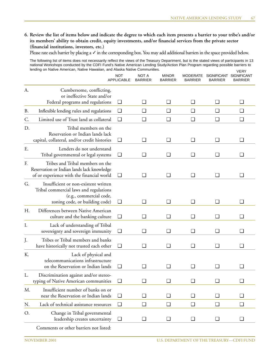## **6. Review the list of items below and indicate the degree to which each item presents a barrier to your tribe's and/or its members' ability to obtain credit, equity investments, and/or financial services from the private sector (financial institutions, investors, etc.)**

Please rate each barrier by placing a √ in the corresponding box. You may add additional barriers in the space provided below.

The following list of items does not necessarily reflect the views of the Treasury Department, but is the stated views of participants in 13 national Workshops conducted by the CDFI Fund's Native American Lending Study/Action Plan Program regarding possible barriers to lending on Native American, Native Hawaiian, and Alaska Native Communities. VERY

|    |                                                                                                                                             | <b>NOT</b><br>APPLICABLE | <b>NOT A</b><br><b>BARRIER</b> | <b>MINOR</b><br><b>BARRIER</b> | <b>MODERATE</b><br><b>BARRIER</b> | <b>SIGNIFICANT</b><br><b>BARRIER</b> | SIGNIFICANT<br><b>BARRIER</b> |
|----|---------------------------------------------------------------------------------------------------------------------------------------------|--------------------------|--------------------------------|--------------------------------|-----------------------------------|--------------------------------------|-------------------------------|
| A. | Cumbersome, conflicting,<br>or ineffective State and/or<br>Federal programs and regulations                                                 | ❏                        | ⊔                              | ❏                              | $\Box$                            | ❏                                    | ❏                             |
|    |                                                                                                                                             |                          | ❏                              | $\Box$                         | ❏                                 | ❏                                    | ❏                             |
| Β. | Inflexible lending rules and regulations                                                                                                    | $\Box$                   |                                |                                |                                   |                                      |                               |
| C. | Limited use of Trust land as collateral                                                                                                     | $\Box$                   | ⊔                              | ❏                              | ⊔                                 | ப                                    | ⊔                             |
| D. | Tribal members on the<br>Reservation or Indian lands lack<br>capital, collateral, and/or credit histories                                   | $\Box$                   | ⊔                              | $\Box$                         | $\Box$                            | ❏                                    | ⊔                             |
| Ε. | Lenders do not understand<br>Tribal governmental or legal systems                                                                           | $\Box$                   |                                | ப                              | ப                                 |                                      |                               |
| F. | Tribes and Tribal members on the<br>Reservation or Indian lands lack knowledge<br>of or experience with the financial world                 | ❏                        | ப                              | ⊔                              | ⊔                                 | ⊔                                    | ⊔                             |
| G. | Insufficient or non-existent written<br>Tribal commercial laws and regulations<br>(e.g., commercial code,<br>zoning code, or building code) | ❏                        | ⊔                              | ❏                              | ⊔                                 | ப                                    | ⊔                             |
| Η. | Differences between Native American<br>culture and the banking culture                                                                      | $\Box$                   | ⊔                              | ❏                              | ❏                                 | ❏                                    | ❏                             |
| Ι. | Lack of understanding of Tribal<br>sovereignty and sovereign immunity                                                                       | $\Box$                   | ⊔                              | ◻                              | □                                 | ❏                                    | ப                             |
| J. | Tribes or Tribal members and banks<br>have historically not trusted each other                                                              | $\Box$                   | ⊔                              | $\Box$                         | □                                 | ❏                                    | ⊔                             |
| К. | Lack of physical and<br>telecommunications infrastructure<br>on the Reservation or Indian lands                                             | $\Box$                   |                                | ப                              | ⊔                                 | ⊔                                    | ⊔                             |
|    | Discrimination against and/or stereo-<br>typing of Native American communities                                                              | $\Box$                   | ப                              | ◻                              | □                                 | ❏                                    | ❏                             |
| Μ. | Insufficient number of banks on or<br>near the Reservation or Indian lands                                                                  | $\Box$                   | ⊔                              | $\Box$                         | ❏                                 | ⊔                                    | ❏                             |
| N. | Lack of technical assistance resources                                                                                                      | $\Box$                   | ◻                              | $\Box$                         | $\Box$                            | $\Box$                               | $\Box$                        |
| O. | Change in Tribal governmental<br>leadership creates uncertainty                                                                             | $\Box$                   | ⊔                              | $\Box$                         | ❏                                 | ❏                                    | ❏                             |

Comments or other barriers not listed: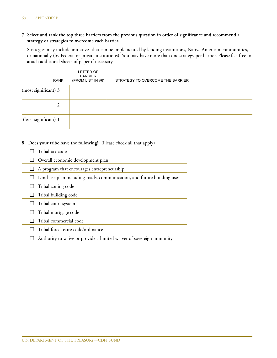## **7. Select and rank the top three barriers from the previous question in order of significance and recommend a strategy or strategies to overcome each barrier.**

Strategies may include initiatives that can be implemented by lending institutions, Native American communities, or nationally (by Federal or private institutions). You may have more than one strategy per barrier. Please feel free to attach additional sheets of paper if necessary.

| <b>RANK</b>           | LETTER OF<br><b>BARRIER</b><br>(FROM LIST IN #6) | STRATEGY TO OVERCOME THE BARRIER |
|-----------------------|--------------------------------------------------|----------------------------------|
| (most significant) 3  |                                                  |                                  |
| 2                     |                                                  |                                  |
| (least significant) 1 |                                                  |                                  |

## **8. Does your tribe have the following?** (Please check all that apply)

❑ Tribal tax code

| Overall economic development plan                                      |
|------------------------------------------------------------------------|
| A program that encourages entrepreneurship                             |
| Land use plan including roads, communication, and future building uses |
| Tribal zoning code                                                     |
| Tribal building code                                                   |
| Tribal court system                                                    |
| $\Box$ Tribal mortgage code                                            |
| Tribal commercial code                                                 |
| Tribal foreclosure code/ordinance                                      |
| Authority to waive or provide a limited waiver of sovereign immunity   |